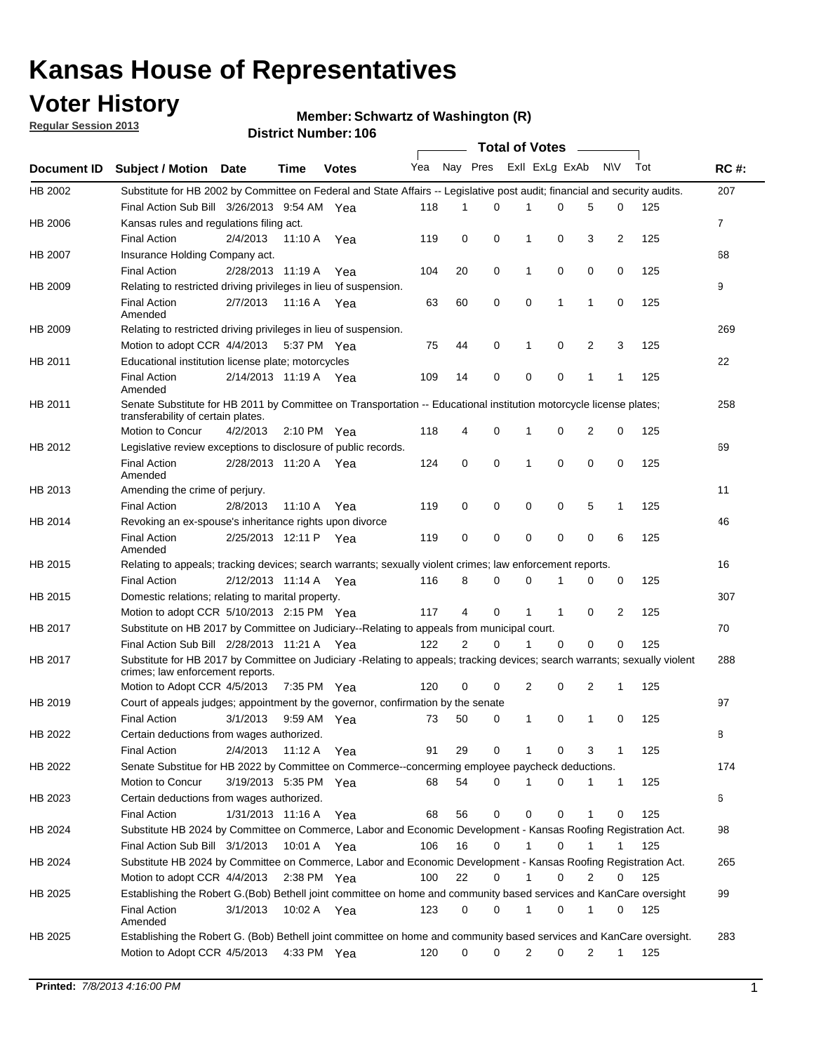## **Voter History**

**Regular Session 2013**

#### **Member: Schwartz of Washington (R)**

|                    |                                                                                                                                                                |                       |                       | <b>DISTRICT MAILINGL'S</b> |     |                | Total of Votes – |                |             |                |                |     |                |
|--------------------|----------------------------------------------------------------------------------------------------------------------------------------------------------------|-----------------------|-----------------------|----------------------------|-----|----------------|------------------|----------------|-------------|----------------|----------------|-----|----------------|
| <b>Document ID</b> | <b>Subject / Motion</b>                                                                                                                                        | <b>Date</b>           | Time                  | <b>Votes</b>               | Yea | Nay Pres       |                  | Exll ExLg ExAb |             |                | N\V            | Tot | <b>RC#:</b>    |
| HB 2002            | Substitute for HB 2002 by Committee on Federal and State Affairs -- Legislative post audit; financial and security audits.                                     |                       |                       |                            |     |                |                  |                |             |                |                |     | 207            |
|                    | Final Action Sub Bill 3/26/2013 9:54 AM Yea                                                                                                                    |                       |                       |                            | 118 | 1              | 0                |                | 0           | 5              | 0              | 125 |                |
| HB 2006            | Kansas rules and regulations filing act.                                                                                                                       |                       |                       |                            |     |                |                  |                |             |                |                |     | $\overline{7}$ |
|                    | <b>Final Action</b>                                                                                                                                            | 2/4/2013              | 11:10 A               | Yea                        | 119 | 0              | 0                | 1              | 0           | 3              | $\overline{2}$ | 125 |                |
| HB 2007            | Insurance Holding Company act.                                                                                                                                 |                       |                       |                            |     |                |                  |                |             |                |                |     | 68             |
|                    | <b>Final Action</b>                                                                                                                                            | 2/28/2013 11:19 A     |                       | Yea                        | 104 | 20             | 0                | 1              | 0           | 0              | 0              | 125 |                |
| HB 2009            | Relating to restricted driving privileges in lieu of suspension.                                                                                               |                       |                       |                            |     |                |                  |                |             |                |                |     | 9              |
|                    | <b>Final Action</b><br>Amended                                                                                                                                 | 2/7/2013              | 11:16 A Yea           |                            | 63  | 60             | 0                | 0              | 1           | 1              | 0              | 125 |                |
| HB 2009            | Relating to restricted driving privileges in lieu of suspension.                                                                                               |                       |                       |                            |     |                |                  |                |             |                |                |     | 269            |
|                    | Motion to adopt CCR 4/4/2013                                                                                                                                   |                       | 5:37 PM Yea           |                            | 75  | 44             | 0                | 1              | 0           | 2              | 3              | 125 |                |
| HB 2011            | Educational institution license plate; motorcycles                                                                                                             |                       |                       |                            |     |                |                  |                |             |                |                |     | 22             |
|                    | <b>Final Action</b><br>Amended                                                                                                                                 | 2/14/2013 11:19 A     |                       | Yea                        | 109 | 14             | $\mathbf 0$      | 0              | 0           | 1              | 1              | 125 |                |
| HB 2011            | Senate Substitute for HB 2011 by Committee on Transportation -- Educational institution motorcycle license plates;<br>transferability of certain plates.       |                       |                       |                            |     |                |                  |                |             |                |                |     | 258            |
|                    | Motion to Concur                                                                                                                                               | 4/2/2013              | $2:10 \text{ PM}$ Yea |                            | 118 | 4              | 0                | 1              | 0           | $\overline{2}$ | 0              | 125 |                |
| HB 2012            | Legislative review exceptions to disclosure of public records.                                                                                                 |                       |                       |                            |     |                |                  |                |             |                |                |     | 69             |
|                    | <b>Final Action</b><br>Amended                                                                                                                                 | 2/28/2013 11:20 A Yea |                       |                            | 124 | 0              | 0                | 1              | 0           | 0              | 0              | 125 |                |
| HB 2013            | Amending the crime of perjury.                                                                                                                                 |                       |                       |                            |     |                |                  |                |             |                |                |     | 11             |
|                    | <b>Final Action</b>                                                                                                                                            | 2/8/2013              | 11:10 A               | Yea                        | 119 | 0              | 0                | 0              | 0           | 5              | $\mathbf{1}$   | 125 |                |
| HB 2014            | Revoking an ex-spouse's inheritance rights upon divorce                                                                                                        |                       |                       |                            |     |                |                  |                |             |                |                |     | 46             |
|                    | <b>Final Action</b><br>Amended                                                                                                                                 | 2/25/2013 12:11 P     |                       | Yea                        | 119 | 0              | 0                | 0              | 0           | 0              | 6              | 125 |                |
| HB 2015            | Relating to appeals; tracking devices; search warrants; sexually violent crimes; law enforcement reports.                                                      |                       |                       |                            |     |                |                  |                |             |                |                |     | 16             |
|                    | <b>Final Action</b>                                                                                                                                            | 2/12/2013 11:14 A     |                       | Yea                        | 116 | 8              | 0                | 0              | 1           | 0              | 0              | 125 |                |
| HB 2015            | Domestic relations; relating to marital property.                                                                                                              |                       |                       |                            |     |                |                  |                |             |                |                |     | 307            |
|                    | Motion to adopt CCR 5/10/2013 2:15 PM Yea                                                                                                                      |                       |                       |                            | 117 | 4              | 0                | 1              | 1           | 0              | 2              | 125 |                |
| HB 2017            | Substitute on HB 2017 by Committee on Judiciary--Relating to appeals from municipal court.                                                                     |                       |                       |                            |     |                |                  |                |             |                |                |     | 70             |
|                    | Final Action Sub Bill 2/28/2013 11:21 A Yea                                                                                                                    |                       |                       |                            | 122 | $\overline{2}$ | $\Omega$         |                | $\mathbf 0$ | $\Omega$       | 0              | 125 |                |
| HB 2017            | Substitute for HB 2017 by Committee on Judiciary -Relating to appeals; tracking devices; search warrants; sexually violent<br>crimes; law enforcement reports. |                       |                       |                            |     |                |                  |                |             |                |                |     | 288            |
|                    | Motion to Adopt CCR 4/5/2013                                                                                                                                   |                       | 7:35 PM Yea           |                            | 120 | 0              | 0                | 2              | 0           | 2              | 1              | 125 |                |
| HB 2019            | Court of appeals judges; appointment by the governor, confirmation by the senate                                                                               |                       |                       |                            |     |                |                  |                |             |                |                |     | 97             |
|                    | <b>Final Action</b>                                                                                                                                            | 3/1/2013              | 9:59 AM Yea           |                            | 73  | 50             | 0                | 1              | 0           | 1              | 0              | 125 |                |
| HB 2022            | Certain deductions from wages authorized.                                                                                                                      |                       |                       |                            |     |                |                  |                |             |                |                |     | 8              |
|                    | Final Action                                                                                                                                                   | 2/4/2013              | 11:12 A               | Yea                        | 91  | 29             | 0                |                | 0           | 3              | 1              | 125 |                |
| HB 2022            | Senate Substitue for HB 2022 by Committee on Commerce--concerming employee paycheck deductions.                                                                |                       |                       |                            |     |                |                  |                |             |                |                |     | 174            |
|                    | Motion to Concur                                                                                                                                               | 3/19/2013 5:35 PM Yea |                       |                            | 68  | 54             | 0                | 1              | 0           | 1              | $\mathbf{1}$   | 125 |                |
| HB 2023            | Certain deductions from wages authorized.                                                                                                                      |                       |                       |                            |     |                |                  |                |             |                |                |     | 6              |
|                    | Final Action                                                                                                                                                   | 1/31/2013 11:16 A     |                       | Yea                        | 68  | 56             | 0                | 0              | 0           | 1              | 0              | 125 |                |
| HB 2024            | Substitute HB 2024 by Committee on Commerce, Labor and Economic Development - Kansas Roofing Registration Act.                                                 |                       |                       |                            |     |                |                  |                |             |                |                |     | 98             |
|                    | Final Action Sub Bill 3/1/2013                                                                                                                                 |                       | 10:01 A               | Yea                        | 106 | 16             | 0                | 1              | 0           | 1              | 1              | 125 |                |
| HB 2024            | Substitute HB 2024 by Committee on Commerce, Labor and Economic Development - Kansas Roofing Registration Act.                                                 |                       |                       |                            |     |                |                  |                |             |                |                |     | 265            |
|                    | Motion to adopt CCR 4/4/2013                                                                                                                                   |                       | 2:38 PM Yea           |                            | 100 | 22             | 0                | 1              | 0           | 2              | 0              | 125 |                |
| HB 2025            | Establishing the Robert G. (Bob) Bethell joint committee on home and community based services and KanCare oversight                                            |                       |                       |                            |     |                |                  |                |             |                |                |     | 99             |
|                    | <b>Final Action</b><br>Amended                                                                                                                                 | 3/1/2013              | 10:02 A Yea           |                            | 123 | 0              | 0                | 1              | 0           | 1              | 0              | 125 |                |
| HB 2025            | Establishing the Robert G. (Bob) Bethell joint committee on home and community based services and KanCare oversight.                                           |                       |                       |                            |     |                |                  |                |             |                |                |     | 283            |
|                    | Motion to Adopt CCR 4/5/2013                                                                                                                                   |                       | 4:33 PM Yea           |                            | 120 | 0              | 0                | 2              | 0           | $\overline{2}$ | 1              | 125 |                |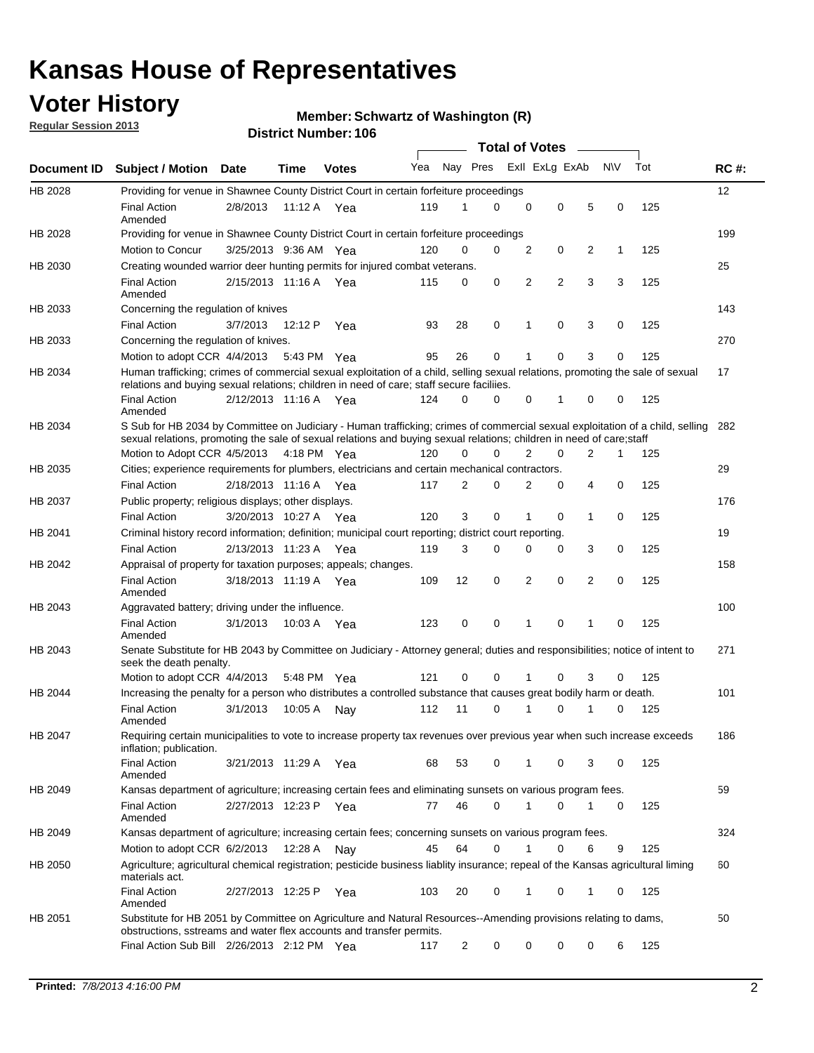## **Voter History**

**Regular Session 2013**

#### **Member: Schwartz of Washington (R)**

|                    |                                                                                                                                                                                                                                                        |                       |         |               |     |             | <b>Total of Votes</b> |                |                |   |           |     |             |
|--------------------|--------------------------------------------------------------------------------------------------------------------------------------------------------------------------------------------------------------------------------------------------------|-----------------------|---------|---------------|-----|-------------|-----------------------|----------------|----------------|---|-----------|-----|-------------|
| <b>Document ID</b> | <b>Subject / Motion Date</b>                                                                                                                                                                                                                           |                       | Time    | <b>Votes</b>  | Yea | Nay Pres    |                       |                | Exll ExLg ExAb |   | <b>NV</b> | Tot | <b>RC#:</b> |
| HB 2028            | Providing for venue in Shawnee County District Court in certain forfeiture proceedings                                                                                                                                                                 |                       |         |               |     |             |                       |                |                |   |           |     | 12          |
|                    | <b>Final Action</b><br>Amended                                                                                                                                                                                                                         | 2/8/2013              |         | 11:12 A $Yea$ | 119 | 1           | $\Omega$              | 0              | 0              | 5 | 0         | 125 |             |
| HB 2028            | Providing for venue in Shawnee County District Court in certain forfeiture proceedings                                                                                                                                                                 |                       |         |               |     |             |                       |                |                |   |           |     | 199         |
|                    | Motion to Concur                                                                                                                                                                                                                                       | 3/25/2013 9:36 AM Yea |         |               | 120 | 0           | 0                     | 2              | 0              | 2 | 1         | 125 |             |
| HB 2030            | Creating wounded warrior deer hunting permits for injured combat veterans.<br><b>Final Action</b>                                                                                                                                                      | 2/15/2013 11:16 A     |         | Yea           | 115 | 0           | 0                     | 2              | 2              | 3 | 3         | 125 | 25          |
| HB 2033            | Amended<br>Concerning the regulation of knives                                                                                                                                                                                                         |                       |         |               |     |             |                       |                |                |   |           |     | 143         |
|                    | <b>Final Action</b>                                                                                                                                                                                                                                    | 3/7/2013              | 12:12 P | Yea           | 93  | 28          | 0                     | 1              | 0              | 3 | 0         | 125 |             |
| HB 2033            | Concerning the regulation of knives.                                                                                                                                                                                                                   |                       |         |               |     |             |                       |                |                |   |           |     | 270         |
|                    | Motion to adopt CCR 4/4/2013                                                                                                                                                                                                                           |                       |         | 5:43 PM Yea   | 95  | 26          | 0                     |                | 0              | 3 | 0         | 125 |             |
| HB 2034            | Human trafficking; crimes of commercial sexual exploitation of a child, selling sexual relations, promoting the sale of sexual                                                                                                                         |                       |         |               |     |             |                       |                |                |   |           |     | 17          |
|                    | relations and buying sexual relations; children in need of care; staff secure faciliies.<br><b>Final Action</b>                                                                                                                                        | 2/12/2013 11:16 A Yea |         |               | 124 | $\Omega$    | 0                     | 0              | 1              | 0 | 0         | 125 |             |
|                    | Amended                                                                                                                                                                                                                                                |                       |         |               |     |             |                       |                |                |   |           |     |             |
| HB 2034            | S Sub for HB 2034 by Committee on Judiciary - Human trafficking; crimes of commercial sexual exploitation of a child, selling<br>sexual relations, promoting the sale of sexual relations and buying sexual relations; children in need of care; staff |                       |         |               |     |             |                       |                |                |   |           |     | 282         |
|                    | Motion to Adopt CCR 4/5/2013 4:18 PM Yea                                                                                                                                                                                                               |                       |         |               | 120 | $\Omega$    | 0                     | 2              | 0              | 2 | 1         | 125 |             |
| HB 2035            | Cities; experience requirements for plumbers, electricians and certain mechanical contractors.                                                                                                                                                         |                       |         |               |     |             |                       |                |                |   |           |     | 29          |
|                    | <b>Final Action</b>                                                                                                                                                                                                                                    | 2/18/2013 11:16 A     |         | Yea           | 117 | 2           | 0                     | 2              | 0              | 4 | 0         | 125 |             |
| HB 2037            | Public property; religious displays; other displays.                                                                                                                                                                                                   |                       |         |               |     |             |                       |                |                |   |           |     | 176         |
|                    | <b>Final Action</b>                                                                                                                                                                                                                                    | 3/20/2013 10:27 A     |         | Yea           | 120 | 3           | 0                     | 1              | 0              | 1 | 0         | 125 |             |
| HB 2041            | Criminal history record information; definition; municipal court reporting; district court reporting.                                                                                                                                                  |                       |         |               |     |             |                       |                |                |   |           |     | 19          |
|                    | <b>Final Action</b>                                                                                                                                                                                                                                    | 2/13/2013 11:23 A     |         | Yea           | 119 | 3           | 0                     | 0              | 0              | 3 | 0         | 125 |             |
| HB 2042            | Appraisal of property for taxation purposes; appeals; changes.                                                                                                                                                                                         |                       |         |               |     |             |                       |                |                |   |           |     | 158         |
|                    | <b>Final Action</b><br>Amended                                                                                                                                                                                                                         | 3/18/2013 11:19 A     |         | Yea           | 109 | 12          | 0                     | $\overline{2}$ | 0              | 2 | 0         | 125 |             |
| HB 2043            | Aggravated battery; driving under the influence.                                                                                                                                                                                                       |                       |         |               |     |             |                       |                |                |   |           |     | 100         |
|                    | <b>Final Action</b><br>Amended                                                                                                                                                                                                                         | 3/1/2013              |         | 10:03 A Yea   | 123 | $\mathbf 0$ | 0                     | 1              | 0              |   | 0         | 125 |             |
| HB 2043            | Senate Substitute for HB 2043 by Committee on Judiciary - Attorney general; duties and responsibilities; notice of intent to<br>seek the death penalty.                                                                                                |                       |         |               |     |             |                       |                |                |   |           |     | 271         |
|                    | Motion to adopt CCR 4/4/2013                                                                                                                                                                                                                           |                       | 5:48 PM | Yea           | 121 | 0           | 0                     |                | 0              | 3 | 0         | 125 |             |
| HB 2044            | Increasing the penalty for a person who distributes a controlled substance that causes great bodily harm or death.                                                                                                                                     |                       |         |               |     |             |                       |                |                |   |           |     | 101         |
|                    | <b>Final Action</b><br>Amended                                                                                                                                                                                                                         | 3/1/2013              | 10:05 A | Nay           | 112 | 11          | 0                     |                | 0              |   | 0         | 125 |             |
| HB 2047            | Requiring certain municipalities to vote to increase property tax revenues over previous year when such increase exceeds<br>inflation; publication.                                                                                                    |                       |         |               |     |             |                       |                |                |   |           |     | 186         |
|                    | <b>Final Action</b><br>Amended                                                                                                                                                                                                                         | 3/21/2013 11:29 A Yea |         |               | 68  | 53          | 0                     |                | 0              | 3 | 0         | 125 |             |
| HB 2049            | Kansas department of agriculture; increasing certain fees and eliminating sunsets on various program fees.                                                                                                                                             |                       |         |               |     |             |                       |                |                |   |           |     | 59          |
|                    | <b>Final Action</b><br>Amended                                                                                                                                                                                                                         | 2/27/2013 12:23 P Yea |         |               | 77  | 46          | 0                     | 1              | 0              | 1 | 0         | 125 |             |
| HB 2049            | Kansas department of agriculture; increasing certain fees; concerning sunsets on various program fees.                                                                                                                                                 |                       |         |               |     |             |                       |                |                |   |           |     | 324         |
|                    | Motion to adopt CCR 6/2/2013                                                                                                                                                                                                                           |                       | 12:28 A | Nav           | 45  | 64          | 0                     | 1              | 0              | 6 | 9         | 125 |             |
| HB 2050            | Agriculture; agricultural chemical registration; pesticide business liablity insurance; repeal of the Kansas agricultural liming<br>materials act.                                                                                                     |                       |         |               |     |             |                       |                |                |   |           |     | 60          |
|                    | <b>Final Action</b><br>Amended                                                                                                                                                                                                                         | 2/27/2013 12:25 P     |         | Yea           | 103 | 20          | 0                     | 1              | 0              | 1 | 0         | 125 |             |
| HB 2051            | Substitute for HB 2051 by Committee on Agriculture and Natural Resources--Amending provisions relating to dams,<br>obstructions, sstreams and water flex accounts and transfer permits.                                                                |                       |         |               |     |             |                       |                |                |   |           |     | 50          |
|                    | Final Action Sub Bill 2/26/2013 2:12 PM Yea                                                                                                                                                                                                            |                       |         |               | 117 | 2           | 0                     | 0              | 0              | 0 | 6         | 125 |             |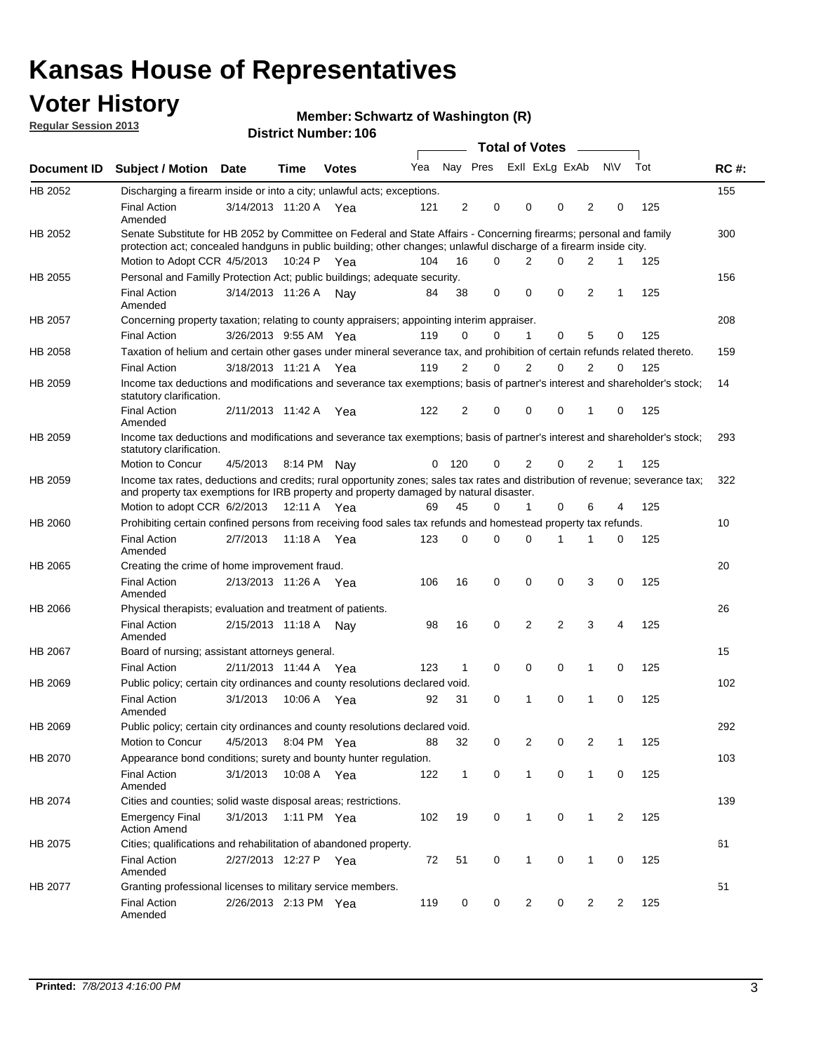## **Voter History**

**Member: Schwartz of Washington (R)** 

**Regular Session 2013**

|             |                                                                                                                                                                                                                                          |                       |         |              |     |                |                         | <b>Total of Votes</b> | $\overline{\phantom{a}}$ |                |           |     |             |
|-------------|------------------------------------------------------------------------------------------------------------------------------------------------------------------------------------------------------------------------------------------|-----------------------|---------|--------------|-----|----------------|-------------------------|-----------------------|--------------------------|----------------|-----------|-----|-------------|
| Document ID | <b>Subject / Motion Date</b>                                                                                                                                                                                                             |                       | Time    | <b>Votes</b> | Yea |                | Nay Pres Exll ExLg ExAb |                       |                          |                | <b>NV</b> | Tot | <b>RC#:</b> |
| HB 2052     | Discharging a firearm inside or into a city; unlawful acts; exceptions.                                                                                                                                                                  |                       |         |              |     |                |                         |                       |                          |                |           |     | 155         |
|             | <b>Final Action</b><br>Amended                                                                                                                                                                                                           | 3/14/2013 11:20 A Yea |         |              | 121 | $\overline{2}$ | 0                       | 0                     | 0                        | $\overline{2}$ | 0         | 125 |             |
| HB 2052     | Senate Substitute for HB 2052 by Committee on Federal and State Affairs - Concerning firearms; personal and family<br>protection act; concealed handguns in public building; other changes; unlawful discharge of a firearm inside city. |                       |         |              |     |                |                         |                       |                          |                |           |     | 300         |
|             | Motion to Adopt CCR 4/5/2013                                                                                                                                                                                                             |                       |         | 10:24 P Yea  | 104 | 16             | 0                       | 2                     | 0                        | 2              | 1         | 125 |             |
| HB 2055     | Personal and Familly Protection Act; public buildings; adequate security.                                                                                                                                                                |                       |         |              |     |                |                         |                       |                          |                |           |     | 156         |
|             | <b>Final Action</b><br>Amended                                                                                                                                                                                                           | 3/14/2013 11:26 A     |         | Nav          | 84  | 38             | 0                       | 0                     | 0                        | 2              | 1         | 125 |             |
| HB 2057     | Concerning property taxation; relating to county appraisers; appointing interim appraiser.                                                                                                                                               |                       |         |              |     |                |                         |                       |                          |                |           |     | 208         |
|             | <b>Final Action</b>                                                                                                                                                                                                                      | 3/26/2013 9:55 AM Yea |         |              | 119 | 0              | 0                       | $\mathbf 1$           | 0                        | 5              | 0         | 125 |             |
| HB 2058     | Taxation of helium and certain other gases under mineral severance tax, and prohibition of certain refunds related thereto.                                                                                                              |                       |         |              |     |                |                         |                       |                          |                |           |     | 159         |
|             | <b>Final Action</b>                                                                                                                                                                                                                      | 3/18/2013 11:21 A Yea |         |              | 119 | 2              | 0                       | 2                     | 0                        | $\overline{2}$ | 0         | 125 |             |
| HB 2059     | Income tax deductions and modifications and severance tax exemptions; basis of partner's interest and shareholder's stock;<br>statutory clarification.                                                                                   |                       |         |              |     |                |                         |                       |                          |                |           |     | 14          |
|             | <b>Final Action</b><br>Amended                                                                                                                                                                                                           | 2/11/2013 11:42 A     |         | Yea          | 122 | 2              | 0                       | 0                     | 0                        | 1              | 0         | 125 |             |
| HB 2059     | Income tax deductions and modifications and severance tax exemptions; basis of partner's interest and shareholder's stock;<br>statutory clarification.                                                                                   |                       |         |              |     |                |                         |                       |                          |                |           |     | 293         |
|             | <b>Motion to Concur</b>                                                                                                                                                                                                                  | 4/5/2013              |         | 8:14 PM Nay  | 0   | 120            | 0                       | 2                     | 0                        | $\overline{2}$ | 1         | 125 |             |
| HB 2059     | Income tax rates, deductions and credits; rural opportunity zones; sales tax rates and distribution of revenue; severance tax;<br>and property tax exemptions for IRB property and property damaged by natural disaster.                 |                       |         |              |     |                |                         |                       |                          |                |           |     | 322         |
|             | Motion to adopt CCR 6/2/2013                                                                                                                                                                                                             |                       | 12:11 A | Yea          | 69  | 45             | 0                       | 1                     | 0                        | 6              | 4         | 125 |             |
| HB 2060     | Prohibiting certain confined persons from receiving food sales tax refunds and homestead property tax refunds.                                                                                                                           |                       |         |              |     |                |                         |                       |                          |                |           |     | 10          |
|             | <b>Final Action</b><br>Amended                                                                                                                                                                                                           | 2/7/2013              | 11:18 A | Yea          | 123 | 0              | 0                       | $\Omega$              | 1                        | 1              | 0         | 125 |             |
| HB 2065     | Creating the crime of home improvement fraud.                                                                                                                                                                                            |                       |         |              |     |                |                         |                       |                          |                |           |     | 20          |
|             | <b>Final Action</b><br>Amended                                                                                                                                                                                                           | 2/13/2013 11:26 A Yea |         |              | 106 | 16             | 0                       | 0                     | 0                        | 3              | 0         | 125 |             |
| HB 2066     | Physical therapists; evaluation and treatment of patients.                                                                                                                                                                               |                       |         |              |     |                |                         |                       |                          |                |           |     | 26          |
|             | <b>Final Action</b><br>Amended                                                                                                                                                                                                           | 2/15/2013 11:18 A     |         | Nav          | 98  | 16             | 0                       | $\overline{2}$        | 2                        | 3              | 4         | 125 |             |
| HB 2067     | Board of nursing; assistant attorneys general.                                                                                                                                                                                           |                       |         |              |     |                |                         |                       |                          |                |           |     | 15          |
|             | <b>Final Action</b>                                                                                                                                                                                                                      | 2/11/2013 11:44 A Yea |         |              | 123 | 1              | 0                       | 0                     | 0                        | 1              | 0         | 125 |             |
| HB 2069     | Public policy; certain city ordinances and county resolutions declared void.                                                                                                                                                             |                       |         |              |     |                |                         |                       |                          |                |           |     | 102         |
|             | <b>Final Action</b><br>Amended                                                                                                                                                                                                           | 3/1/2013              | 10:06 A | Yea          | 92  | 31             | 0                       | 1                     | 0                        | 1              | 0         | 125 |             |
| HB 2069     | Public policy; certain city ordinances and county resolutions declared void.                                                                                                                                                             |                       |         |              |     |                |                         |                       |                          |                |           |     | 292         |
|             | Motion to Concur                                                                                                                                                                                                                         | 4/5/2013              |         | 8:04 PM Yea  | 88  | 32             | 0                       | 2                     | 0                        | 2              | 1         | 125 |             |
| HB 2070     | Appearance bond conditions; surety and bounty hunter regulation.                                                                                                                                                                         |                       |         |              |     |                |                         |                       |                          |                |           |     | 103         |
|             | <b>Final Action</b><br>Amended                                                                                                                                                                                                           | 3/1/2013              |         | 10:08 A Yea  | 122 | $\mathbf{1}$   | 0                       | 1                     | 0                        | $\mathbf{1}$   | 0         | 125 |             |
| HB 2074     | Cities and counties; solid waste disposal areas; restrictions.                                                                                                                                                                           |                       |         |              |     |                |                         |                       |                          |                |           |     | 139         |
|             | <b>Emergency Final</b><br><b>Action Amend</b>                                                                                                                                                                                            | 3/1/2013              |         | 1:11 PM Yea  | 102 | 19             | 0                       | $\mathbf{1}$          | 0                        | $\mathbf{1}$   | 2         | 125 |             |
| HB 2075     | Cities; qualifications and rehabilitation of abandoned property.                                                                                                                                                                         |                       |         |              |     |                |                         |                       |                          |                |           |     | 61          |
|             | <b>Final Action</b><br>Amended                                                                                                                                                                                                           | 2/27/2013 12:27 P Yea |         |              | 72  | 51             | 0                       | 1                     | 0                        | 1              | 0         | 125 |             |
| HB 2077     | Granting professional licenses to military service members.                                                                                                                                                                              |                       |         |              |     |                |                         |                       |                          |                |           |     | 51          |
|             | <b>Final Action</b><br>Amended                                                                                                                                                                                                           | 2/26/2013 2:13 PM Yea |         |              | 119 | 0              | 0                       | 2                     | 0                        | 2              | 2         | 125 |             |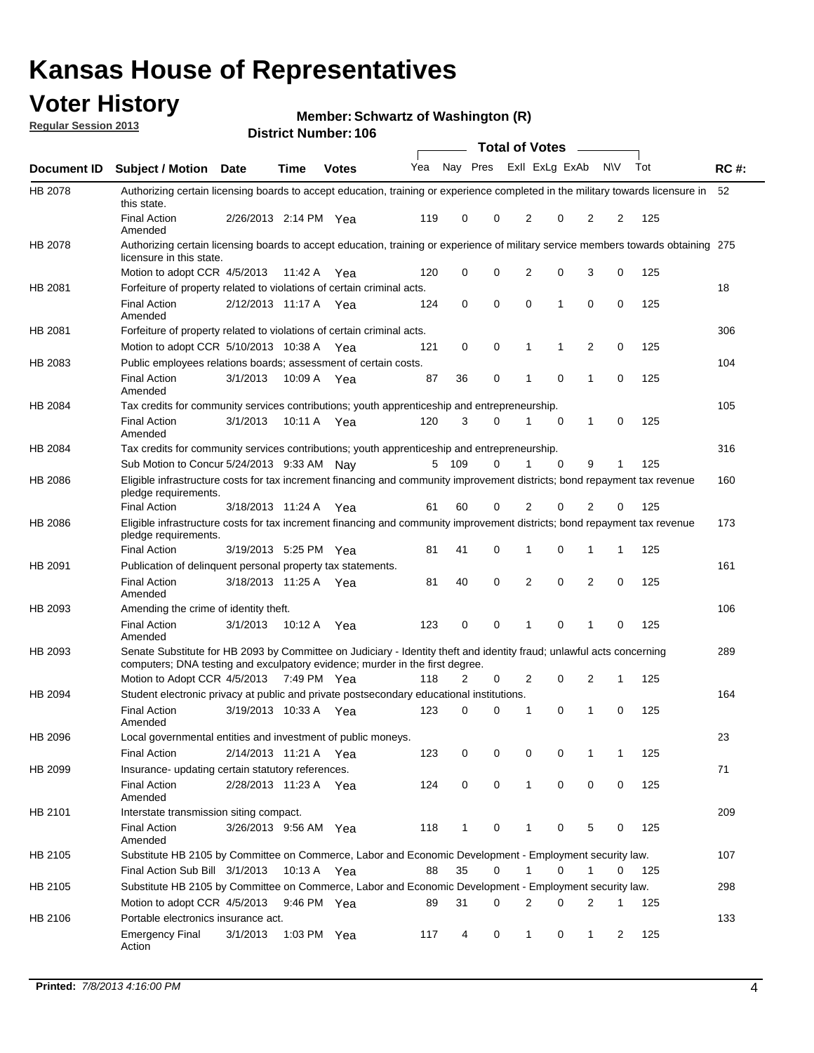## **Voter History**

**Member: Schwartz of Washington (R)** 

**Regular Session 2013**

|             |                                                                                                                                                                                                       |                       |             | <b>DISTRICT MAILINGL. 100</b> |     |              |   | Total of Votes – |          |                |             |     |             |
|-------------|-------------------------------------------------------------------------------------------------------------------------------------------------------------------------------------------------------|-----------------------|-------------|-------------------------------|-----|--------------|---|------------------|----------|----------------|-------------|-----|-------------|
| Document ID | <b>Subject / Motion Date</b>                                                                                                                                                                          |                       | Time        | <b>Votes</b>                  | Yea | Nay Pres     |   | Exll ExLg ExAb   |          |                | <b>NV</b>   | Tot | <b>RC#:</b> |
| HB 2078     | Authorizing certain licensing boards to accept education, training or experience completed in the military towards licensure in<br>this state.                                                        |                       |             |                               |     |              |   |                  |          |                |             |     | 52          |
|             | <b>Final Action</b><br>Amended                                                                                                                                                                        | 2/26/2013 2:14 PM Yea |             |                               | 119 | 0            | 0 | 2                | 0        | 2              | 2           | 125 |             |
| HB 2078     | Authorizing certain licensing boards to accept education, training or experience of military service members towards obtaining 275<br>licensure in this state.                                        |                       |             |                               |     |              |   |                  |          |                |             |     |             |
|             | Motion to adopt CCR 4/5/2013                                                                                                                                                                          |                       | 11:42 A     | Yea                           | 120 | 0            | 0 | $\overline{2}$   | 0        | 3              | 0           | 125 |             |
| HB 2081     | Forfeiture of property related to violations of certain criminal acts.                                                                                                                                |                       |             |                               |     |              |   |                  |          |                |             |     | 18          |
|             | <b>Final Action</b><br>Amended                                                                                                                                                                        | 2/12/2013 11:17 A Yea |             |                               | 124 | 0            | 0 | 0                | 1        | 0              | 0           | 125 |             |
| HB 2081     | Forfeiture of property related to violations of certain criminal acts.                                                                                                                                |                       |             |                               |     |              |   |                  |          |                |             |     | 306         |
|             | Motion to adopt CCR 5/10/2013 10:38 A                                                                                                                                                                 |                       |             | Yea                           | 121 | 0            | 0 | 1                | 1        | 2              | 0           | 125 |             |
| HB 2083     | Public employees relations boards; assessment of certain costs.                                                                                                                                       |                       |             |                               |     |              |   |                  |          |                |             |     | 104         |
|             | <b>Final Action</b><br>Amended                                                                                                                                                                        | 3/1/2013              | 10:09 A     | Yea                           | 87  | 36           | 0 | 1                | 0        | 1              | $\mathbf 0$ | 125 |             |
| HB 2084     | Tax credits for community services contributions; youth apprenticeship and entrepreneurship.                                                                                                          |                       |             |                               |     |              |   |                  |          |                |             |     | 105         |
|             | <b>Final Action</b><br>Amended                                                                                                                                                                        | 3/1/2013              | 10:11 A     | Yea                           | 120 | 3            | 0 | 1                | 0        | 1              | 0           | 125 |             |
| HB 2084     | Tax credits for community services contributions; youth apprenticeship and entrepreneurship.                                                                                                          |                       |             |                               |     |              |   |                  |          |                |             |     | 316         |
|             | Sub Motion to Concur 5/24/2013 9:33 AM Nav                                                                                                                                                            |                       |             |                               | 5   | 109          | 0 |                  | $\Omega$ | 9              | 1           | 125 |             |
| HB 2086     | Eligible infrastructure costs for tax increment financing and community improvement districts; bond repayment tax revenue<br>pledge requirements.                                                     |                       |             |                               |     |              |   |                  |          |                |             |     | 160         |
|             | <b>Final Action</b>                                                                                                                                                                                   | 3/18/2013 11:24 A     |             | Yea                           | 61  | 60           | 0 | 2                | 0        | $\overline{2}$ | 0           | 125 |             |
| HB 2086     | Eligible infrastructure costs for tax increment financing and community improvement districts; bond repayment tax revenue<br>pledge requirements.                                                     |                       |             |                               |     |              |   |                  |          |                |             |     | 173         |
|             | <b>Final Action</b>                                                                                                                                                                                   | 3/19/2013 5:25 PM     |             | Yea                           | 81  | 41           | 0 | 1                | 0        | 1              | 1           | 125 |             |
| HB 2091     | Publication of delinguent personal property tax statements.                                                                                                                                           |                       |             |                               |     |              |   |                  |          |                |             |     | 161         |
|             | <b>Final Action</b><br>Amended                                                                                                                                                                        | 3/18/2013 11:25 A     |             | Yea                           | 81  | 40           | 0 | 2                | 0        | $\overline{2}$ | 0           | 125 |             |
| HB 2093     | Amending the crime of identity theft.                                                                                                                                                                 |                       |             |                               |     |              |   |                  |          |                |             |     | 106         |
|             | <b>Final Action</b><br>Amended                                                                                                                                                                        | 3/1/2013              | 10:12 A     | Yea                           | 123 | 0            | 0 |                  | 0        | 1              | 0           | 125 |             |
| HB 2093     | Senate Substitute for HB 2093 by Committee on Judiciary - Identity theft and identity fraud; unlawful acts concerning<br>computers; DNA testing and exculpatory evidence; murder in the first degree. |                       |             |                               |     |              |   |                  |          |                |             |     | 289         |
|             | Motion to Adopt CCR 4/5/2013 7:49 PM Yea                                                                                                                                                              |                       |             |                               | 118 | 2            | 0 | 2                | 0        | 2              | 1           | 125 |             |
| HB 2094     | Student electronic privacy at public and private postsecondary educational institutions.                                                                                                              |                       |             |                               |     |              |   |                  |          |                |             |     | 164         |
|             | <b>Final Action</b><br>Amended                                                                                                                                                                        | 3/19/2013 10:33 A     |             | Yea                           | 123 | 0            | 0 | 1                | 0        | 1              | 0           | 125 |             |
| HB 2096     | Local governmental entities and investment of public moneys.                                                                                                                                          |                       |             |                               |     |              |   |                  |          |                |             |     | 23          |
|             | <b>Final Action</b>                                                                                                                                                                                   | 2/14/2013 11:21 A     |             | Yea                           | 123 | 0            | 0 | 0                | 0        | 1              | 1           | 125 |             |
| HB 2099     | Insurance- updating certain statutory references.                                                                                                                                                     |                       |             |                               |     |              |   |                  |          |                |             |     | 71          |
|             | <b>Final Action</b><br>Amended                                                                                                                                                                        | 2/28/2013 11:23 A     |             | Yea                           | 124 | 0            | 0 | $\mathbf{1}$     | 0        | 0              | 0           | 125 |             |
| HB 2101     | Interstate transmission siting compact.                                                                                                                                                               |                       |             |                               |     |              |   |                  |          |                |             |     | 209         |
|             | <b>Final Action</b><br>Amended                                                                                                                                                                        | 3/26/2013 9:56 AM Yea |             |                               | 118 | $\mathbf{1}$ | 0 | 1                | 0        | 5              | 0           | 125 |             |
| HB 2105     | Substitute HB 2105 by Committee on Commerce, Labor and Economic Development - Employment security law.                                                                                                |                       |             |                               |     |              |   |                  |          |                |             |     | 107         |
|             | Final Action Sub Bill 3/1/2013                                                                                                                                                                        |                       | 10:13 A Yea |                               | 88  | 35           | 0 | 1                | 0        | 1              | 0           | 125 |             |
| HB 2105     | Substitute HB 2105 by Committee on Commerce, Labor and Economic Development - Employment security law.                                                                                                |                       |             |                               |     |              |   |                  |          |                |             |     | 298         |
|             | Motion to adopt CCR 4/5/2013                                                                                                                                                                          |                       | 9:46 PM Yea |                               | 89  | 31           | 0 | 2                | 0        | 2              | 1           | 125 |             |
| HB 2106     | Portable electronics insurance act.                                                                                                                                                                   |                       |             |                               |     |              |   |                  |          |                |             |     | 133         |
|             | <b>Emergency Final</b><br>Action                                                                                                                                                                      | 3/1/2013              | 1:03 PM Yea |                               | 117 | 4            | 0 | $\mathbf{1}$     | 0        | 1              | 2           | 125 |             |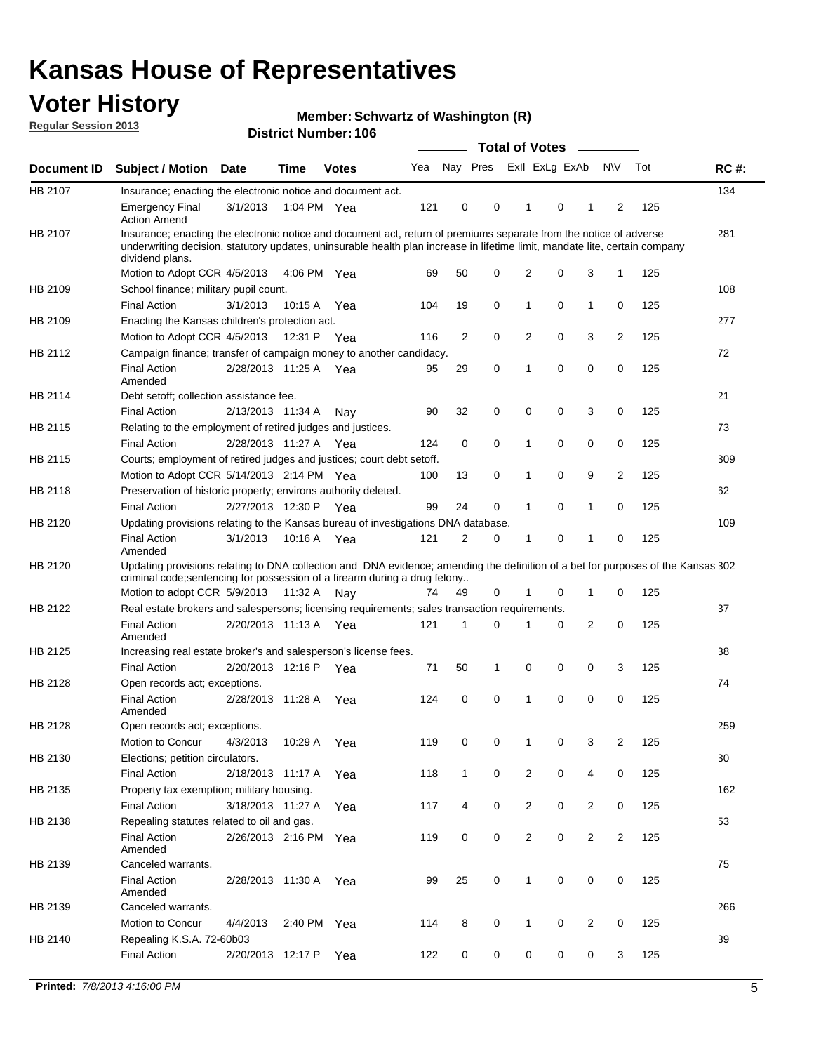## **Voter History**

**Member: Schwartz of Washington (R)** 

**Regular Session 2013**

|             |                                                                                                                                                                                                                                                                      |                       |             | <b>DISTRICT MAILINGL. 100</b> |     |                | Total of Votes – |                |          |                |                |     |             |
|-------------|----------------------------------------------------------------------------------------------------------------------------------------------------------------------------------------------------------------------------------------------------------------------|-----------------------|-------------|-------------------------------|-----|----------------|------------------|----------------|----------|----------------|----------------|-----|-------------|
| Document ID | Subject / Motion Date                                                                                                                                                                                                                                                |                       | <b>Time</b> | <b>Votes</b>                  | Yea | Nay Pres       |                  | Exll ExLg ExAb |          |                | <b>NV</b>      | Tot | <b>RC#:</b> |
| HB 2107     | Insurance; enacting the electronic notice and document act.                                                                                                                                                                                                          |                       |             |                               |     |                |                  |                |          |                |                |     | 134         |
|             | <b>Emergency Final</b><br><b>Action Amend</b>                                                                                                                                                                                                                        | 3/1/2013              |             | 1:04 PM Yea                   | 121 | 0              | 0                | 1              | 0        | 1              | 2              | 125 |             |
| HB 2107     | Insurance; enacting the electronic notice and document act, return of premiums separate from the notice of adverse<br>underwriting decision, statutory updates, uninsurable health plan increase in lifetime limit, mandate lite, certain company<br>dividend plans. |                       |             |                               |     |                |                  |                |          |                |                |     | 281         |
|             | Motion to Adopt CCR 4/5/2013                                                                                                                                                                                                                                         |                       |             | 4:06 PM Yea                   | 69  | 50             | 0                | 2              | 0        | 3              | 1              | 125 |             |
| HB 2109     | School finance; military pupil count.                                                                                                                                                                                                                                |                       |             |                               |     |                |                  |                |          |                |                |     | 108         |
|             | <b>Final Action</b>                                                                                                                                                                                                                                                  | 3/1/2013              | 10:15 A     | Yea                           | 104 | 19             | $\mathbf 0$      | 1              | 0        | 1              | 0              | 125 |             |
| HB 2109     | Enacting the Kansas children's protection act.                                                                                                                                                                                                                       |                       |             |                               |     |                |                  |                |          |                |                |     | 277         |
|             | Motion to Adopt CCR 4/5/2013                                                                                                                                                                                                                                         |                       | 12:31 P Yea |                               | 116 | 2              | $\mathbf 0$      | $\overline{2}$ | 0        | 3              | 2              | 125 |             |
| HB 2112     | Campaign finance; transfer of campaign money to another candidacy.                                                                                                                                                                                                   |                       |             |                               |     |                |                  |                |          |                |                |     | 72          |
|             | <b>Final Action</b><br>Amended                                                                                                                                                                                                                                       | 2/28/2013 11:25 A Yea |             |                               | 95  | 29             | 0                | 1              | 0        | 0              | 0              | 125 |             |
| HB 2114     | Debt setoff; collection assistance fee.                                                                                                                                                                                                                              |                       |             |                               |     |                |                  |                |          |                |                |     | 21          |
|             | <b>Final Action</b>                                                                                                                                                                                                                                                  | 2/13/2013 11:34 A     |             | Nay                           | 90  | 32             | 0                | 0              | 0        | 3              | 0              | 125 |             |
| HB 2115     | Relating to the employment of retired judges and justices.                                                                                                                                                                                                           |                       |             |                               |     |                |                  |                |          |                |                |     | 73          |
|             | <b>Final Action</b>                                                                                                                                                                                                                                                  | 2/28/2013 11:27 A Yea |             |                               | 124 | 0              | 0                | 1              | 0        | 0              | 0              | 125 |             |
| HB 2115     | Courts; employment of retired judges and justices; court debt setoff.                                                                                                                                                                                                |                       |             |                               |     |                |                  |                |          |                |                |     | 309         |
|             | Motion to Adopt CCR 5/14/2013 2:14 PM Yea                                                                                                                                                                                                                            |                       |             |                               | 100 | 13             | 0                | 1              | 0        | 9              | 2              | 125 |             |
| HB 2118     | Preservation of historic property; environs authority deleted.                                                                                                                                                                                                       |                       |             |                               |     |                |                  |                |          |                |                |     | 62          |
|             | <b>Final Action</b>                                                                                                                                                                                                                                                  | 2/27/2013 12:30 P     |             | Yea                           | 99  | 24             | 0                | 1              | 0        | 1              | 0              | 125 |             |
| HB 2120     | Updating provisions relating to the Kansas bureau of investigations DNA database.                                                                                                                                                                                    |                       |             |                               |     |                |                  |                |          |                |                |     | 109         |
|             | <b>Final Action</b><br>Amended                                                                                                                                                                                                                                       | 3/1/2013              |             | 10:16 A Yea                   | 121 | $\overline{2}$ | 0                | 1              | 0        | 1              | 0              | 125 |             |
| HB 2120     | Updating provisions relating to DNA collection and DNA evidence; amending the definition of a bet for purposes of the Kansas 302<br>criminal code; sentencing for possession of a firearm during a drug felony                                                       |                       |             |                               |     |                |                  |                |          |                |                |     |             |
|             | Motion to adopt CCR 5/9/2013 11:32 A Nay                                                                                                                                                                                                                             |                       |             |                               | 74  | 49             | 0                | 1              | 0        | 1              | 0              | 125 |             |
| HB 2122     | Real estate brokers and salespersons; licensing requirements; sales transaction requirements.                                                                                                                                                                        |                       |             |                               |     |                |                  |                |          |                |                |     | 37          |
|             | <b>Final Action</b><br>Amended                                                                                                                                                                                                                                       | 2/20/2013 11:13 A Yea |             |                               | 121 | 1              | 0                |                | 0        | $\overline{2}$ | 0              | 125 |             |
| HB 2125     | Increasing real estate broker's and salesperson's license fees.                                                                                                                                                                                                      |                       |             |                               |     |                |                  |                |          |                |                |     | 38          |
|             | <b>Final Action</b>                                                                                                                                                                                                                                                  | 2/20/2013 12:16 P     |             | Yea                           | 71  | 50             | 1                | 0              | 0        | 0              | 3              | 125 |             |
| HB 2128     | Open records act; exceptions.                                                                                                                                                                                                                                        |                       |             |                               |     |                |                  |                |          |                |                |     | 74          |
|             | <b>Final Action</b><br>Amended                                                                                                                                                                                                                                       | 2/28/2013 11:28 A     |             | Yea                           | 124 | 0              | $\Omega$         | 1              | $\Omega$ | 0              | 0              | 125 |             |
| HB 2128     | Open records act; exceptions.                                                                                                                                                                                                                                        |                       |             |                               |     |                |                  |                |          |                |                |     | 259         |
|             | Motion to Concur                                                                                                                                                                                                                                                     | 4/3/2013              | 10:29 A     | Yea                           | 119 | 0              | 0                | 1              | 0        | 3              | 2              | 125 |             |
| HB 2130     | Elections; petition circulators.                                                                                                                                                                                                                                     |                       |             |                               |     |                |                  |                |          |                |                |     | 30          |
|             | <b>Final Action</b>                                                                                                                                                                                                                                                  | 2/18/2013 11:17 A     |             | Yea                           | 118 | $\mathbf{1}$   | 0                | 2              | 0        | 4              | 0              | 125 |             |
| HB 2135     | Property tax exemption; military housing.                                                                                                                                                                                                                            |                       |             |                               |     |                |                  |                |          |                |                |     | 162         |
|             | <b>Final Action</b>                                                                                                                                                                                                                                                  | 3/18/2013 11:27 A     |             | Yea                           | 117 | 4              | 0                | 2              | 0        | $\overline{2}$ | 0              | 125 |             |
| HB 2138     | Repealing statutes related to oil and gas.                                                                                                                                                                                                                           |                       |             |                               |     |                |                  |                |          |                |                |     | 53          |
|             | <b>Final Action</b><br>Amended                                                                                                                                                                                                                                       | 2/26/2013 2:16 PM Yea |             |                               | 119 | 0              | 0                | 2              | 0        | 2              | $\overline{2}$ | 125 |             |
| HB 2139     | Canceled warrants.                                                                                                                                                                                                                                                   |                       |             |                               |     |                |                  |                |          |                |                |     | 75          |
|             | <b>Final Action</b><br>Amended                                                                                                                                                                                                                                       | 2/28/2013 11:30 A     |             | Yea                           | 99  | 25             | 0                | 1              | 0        | 0              | 0              | 125 |             |
| HB 2139     | Canceled warrants.                                                                                                                                                                                                                                                   |                       |             |                               |     |                |                  |                |          |                |                |     | 266         |
|             | Motion to Concur                                                                                                                                                                                                                                                     | 4/4/2013              | 2:40 PM     | Yea                           | 114 | 8              | 0                | 1              | 0        | 2              | 0              | 125 |             |
| HB 2140     | Repealing K.S.A. 72-60b03                                                                                                                                                                                                                                            |                       |             |                               |     |                |                  |                |          |                |                |     | 39          |
|             | <b>Final Action</b>                                                                                                                                                                                                                                                  | 2/20/2013 12:17 P     |             | Yea                           | 122 | 0              | 0                | 0              | 0        | 0              | 3              | 125 |             |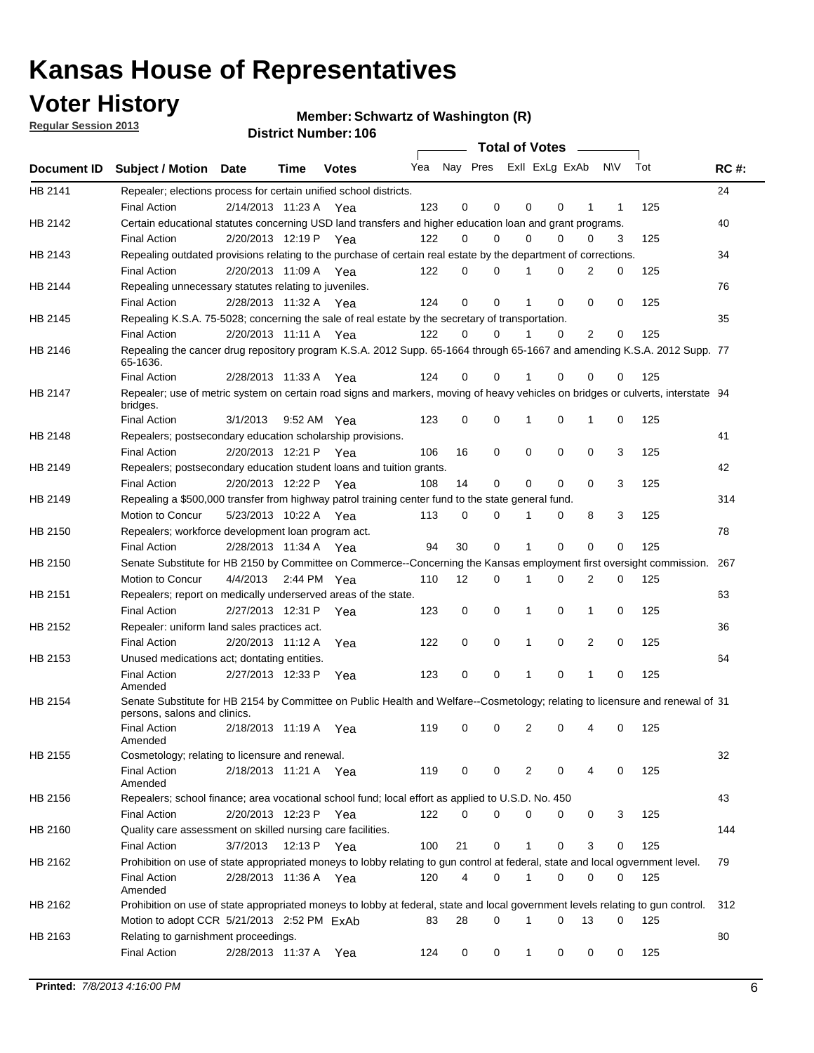## **Voter History**

**Member: Schwartz of Washington (R)** 

**Regular Session 2013**

|             |                                                                                                                                              |          |                       |              |     |                         | <b>Total of Votes</b> |              |   | $\sim$   |     |     |             |
|-------------|----------------------------------------------------------------------------------------------------------------------------------------------|----------|-----------------------|--------------|-----|-------------------------|-----------------------|--------------|---|----------|-----|-----|-------------|
| Document ID | <b>Subject / Motion Date</b>                                                                                                                 |          | Time                  | <b>Votes</b> | Yea | Nay Pres Exll ExLg ExAb |                       |              |   |          | N\V | Tot | <b>RC#:</b> |
| HB 2141     | Repealer; elections process for certain unified school districts.                                                                            |          |                       |              |     |                         |                       |              |   |          |     |     | 24          |
|             | <b>Final Action</b>                                                                                                                          |          | 2/14/2013 11:23 A     | Yea          | 123 | 0                       | 0                     | 0            | 0 | 1        | 1   | 125 |             |
| HB 2142     | Certain educational statutes concerning USD land transfers and higher education loan and grant programs.                                     |          |                       |              |     |                         |                       |              |   |          |     |     | 40          |
|             | <b>Final Action</b>                                                                                                                          |          | 2/20/2013 12:19 P     | Yea          | 122 | 0                       | 0                     | 0            | 0 | 0        | 3   | 125 |             |
| HB 2143     | Repealing outdated provisions relating to the purchase of certain real estate by the department of corrections.                              |          |                       |              |     |                         |                       |              |   |          |     |     | 34          |
|             | <b>Final Action</b>                                                                                                                          |          | 2/20/2013 11:09 A     | Yea          | 122 | 0                       | 0                     |              | 0 | 2        | 0   | 125 |             |
| HB 2144     | Repealing unnecessary statutes relating to juveniles.                                                                                        |          |                       |              |     |                         |                       |              |   |          |     |     | 76          |
|             | <b>Final Action</b>                                                                                                                          |          | 2/28/2013 11:32 A Yea |              | 124 | 0                       | 0                     |              | 0 | 0        | 0   | 125 |             |
| HB 2145     | Repealing K.S.A. 75-5028; concerning the sale of real estate by the secretary of transportation.                                             |          |                       |              |     |                         |                       |              |   |          |     |     | 35          |
|             | <b>Final Action</b>                                                                                                                          |          | 2/20/2013 11:11 A Yea |              | 122 | 0                       | 0                     |              | 0 | 2        | 0   | 125 |             |
| HB 2146     | Repealing the cancer drug repository program K.S.A. 2012 Supp. 65-1664 through 65-1667 and amending K.S.A. 2012 Supp. 77<br>65-1636.         |          |                       |              |     |                         |                       |              |   |          |     |     |             |
|             | <b>Final Action</b>                                                                                                                          |          | 2/28/2013 11:33 A     | Yea          | 124 | 0                       | 0                     |              | 0 | 0        | 0   | 125 |             |
| HB 2147     | Repealer; use of metric system on certain road signs and markers, moving of heavy vehicles on bridges or culverts, interstate 94<br>bridges. |          |                       |              |     |                         |                       |              |   |          |     |     |             |
|             | <b>Final Action</b>                                                                                                                          | 3/1/2013 |                       | 9:52 AM Yea  | 123 | 0                       | 0                     | 1            | 0 | 1        | 0   | 125 |             |
| HB 2148     | Repealers; postsecondary education scholarship provisions.                                                                                   |          |                       |              |     |                         |                       |              |   |          |     |     | 41          |
|             | <b>Final Action</b>                                                                                                                          |          | 2/20/2013 12:21 P Yea |              | 106 | 16                      | 0                     | 0            | 0 | 0        | 3   | 125 |             |
| HB 2149     | Repealers; postsecondary education student loans and tuition grants.                                                                         |          |                       |              |     |                         |                       |              |   |          |     |     | 42          |
|             | <b>Final Action</b>                                                                                                                          |          | 2/20/2013 12:22 P     | Yea          | 108 | 14                      | 0                     | 0            | 0 | $\Omega$ | 3   | 125 |             |
| HB 2149     | Repealing a \$500,000 transfer from highway patrol training center fund to the state general fund.                                           |          |                       |              |     |                         |                       |              |   |          |     |     | 314         |
|             | Motion to Concur                                                                                                                             |          | 5/23/2013 10:22 A Yea |              | 113 | 0                       | 0                     |              | 0 | 8        | 3   | 125 |             |
| HB 2150     | Repealers; workforce development loan program act.                                                                                           |          |                       |              |     |                         |                       |              |   |          |     |     | 78          |
|             | <b>Final Action</b>                                                                                                                          |          | 2/28/2013 11:34 A Yea |              | 94  | 30                      | 0                     | 1            | 0 | 0        | 0   | 125 |             |
| HB 2150     | Senate Substitute for HB 2150 by Committee on Commerce--Concerning the Kansas employment first oversight commission.                         |          |                       |              |     |                         |                       |              |   |          |     |     | 267         |
|             | Motion to Concur                                                                                                                             | 4/4/2013 |                       | 2:44 PM Yea  | 110 | 12                      | 0                     | 1            | 0 | 2        | 0   | 125 |             |
| HB 2151     | Repealers; report on medically underserved areas of the state.                                                                               |          |                       |              |     |                         |                       |              |   |          |     |     | 63          |
|             | <b>Final Action</b>                                                                                                                          |          | 2/27/2013 12:31 P     | Yea          | 123 | 0                       | 0                     | 1            | 0 | 1        | 0   | 125 |             |
| HB 2152     | Repealer: uniform land sales practices act.                                                                                                  |          |                       |              |     |                         |                       |              |   |          |     |     | 36          |
|             | <b>Final Action</b>                                                                                                                          |          | 2/20/2013 11:12 A     | Yea          | 122 | 0                       | 0                     | 1            | 0 | 2        | 0   | 125 |             |
| HB 2153     | Unused medications act; dontating entities.                                                                                                  |          |                       |              |     |                         |                       |              |   |          |     |     | 64          |
|             | <b>Final Action</b><br>Amended                                                                                                               |          | 2/27/2013 12:33 P     | Yea          | 123 | 0                       | 0                     | 1            | 0 | 1        | 0   | 125 |             |
| HB 2154     | Senate Substitute for HB 2154 by Committee on Public Health and Welfare--Cosmetology; relating to licensure and renewal of 31                |          |                       |              |     |                         |                       |              |   |          |     |     |             |
|             | persons, salons and clinics.                                                                                                                 |          |                       |              |     |                         |                       |              |   |          |     |     |             |
|             | <b>Final Action</b><br>Amended                                                                                                               |          | 2/18/2013 11:19 A     | Yea          | 119 | 0                       | 0                     | 2            | 0 | 4        | 0   | 125 |             |
| HB 2155     | Cosmetology; relating to licensure and renewal.                                                                                              |          |                       |              |     |                         |                       |              |   |          |     |     | 32          |
|             | <b>Final Action</b><br>Amended                                                                                                               |          | 2/18/2013 11:21 A Yea |              | 119 | 0                       | 0                     | 2            | 0 | 4        | 0   | 125 |             |
| HB 2156     | Repealers; school finance; area vocational school fund; local effort as applied to U.S.D. No. 450                                            |          |                       |              |     |                         |                       |              |   |          |     |     | 43          |
|             | <b>Final Action</b>                                                                                                                          |          | 2/20/2013 12:23 P     | Yea          | 122 | 0                       | $\Omega$              | 0            | 0 | 0        | 3   | 125 |             |
| HB 2160     | Quality care assessment on skilled nursing care facilities.                                                                                  |          |                       |              |     |                         |                       |              |   |          |     |     | 144         |
|             | <b>Final Action</b>                                                                                                                          | 3/7/2013 |                       | 12:13 P Yea  | 100 | 21                      | 0                     | 1            | 0 | 3        | 0   | 125 |             |
| HB 2162     | Prohibition on use of state appropriated moneys to lobby relating to gun control at federal, state and local ogvernment level.               |          |                       |              |     |                         |                       |              |   |          |     |     | 79          |
|             | <b>Final Action</b><br>Amended                                                                                                               |          | 2/28/2013 11:36 A Yea |              | 120 | 4                       | 0                     | 1            | 0 | 0        | 0   | 125 |             |
| HB 2162     | Prohibition on use of state appropriated moneys to lobby at federal, state and local government levels relating to gun control.              |          |                       |              |     |                         |                       |              |   |          |     |     | 312         |
|             | Motion to adopt CCR 5/21/2013 2:52 PM ExAb                                                                                                   |          |                       |              | 83  | 28                      | 0                     | 1            | 0 | 13       | 0   | 125 |             |
| HB 2163     | Relating to garnishment proceedings.                                                                                                         |          |                       |              |     |                         |                       |              |   |          |     |     | 80          |
|             | <b>Final Action</b>                                                                                                                          |          | 2/28/2013 11:37 A     | Yea          | 124 | 0                       | 0                     | $\mathbf{1}$ | 0 | 0        | 0   | 125 |             |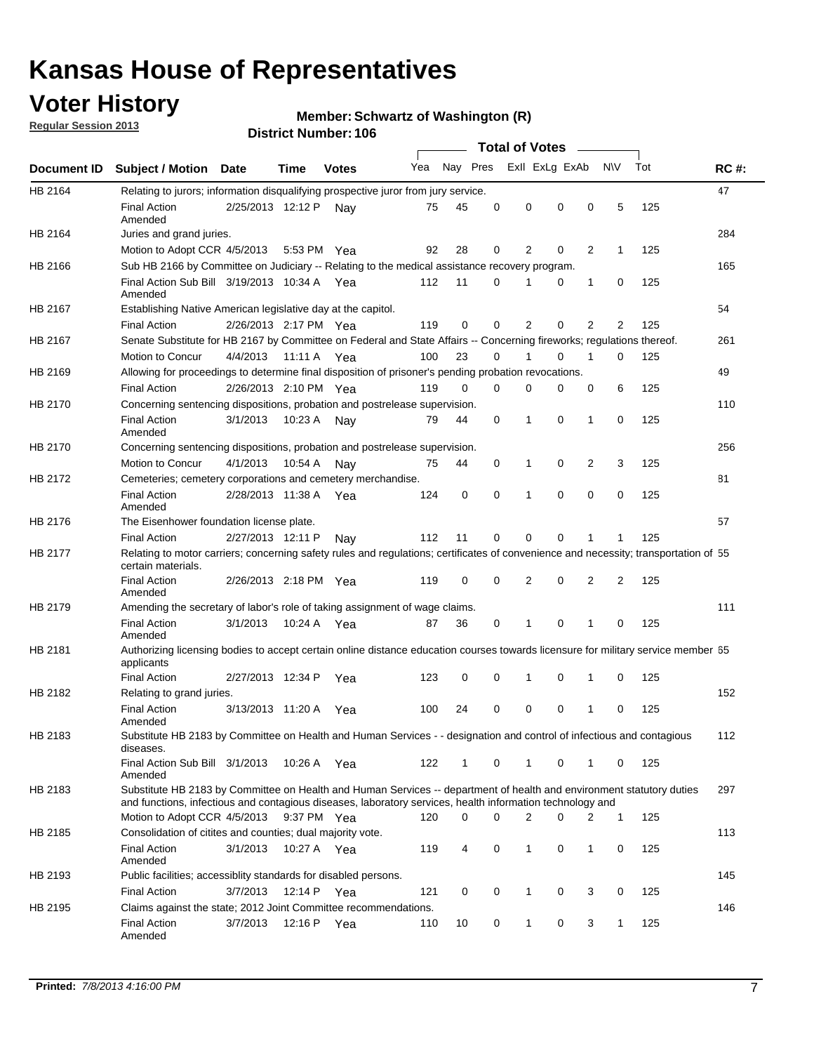## **Voter History**

**Regular Session 2013**

#### **Member: Schwartz of Washington (R)**

|                    |                                                                                                                                                                                                                                    |                       |             | <b>DISTRICT MAILINGL. 100</b> |     |              |   | Total of Votes = |          |                |              |     |             |
|--------------------|------------------------------------------------------------------------------------------------------------------------------------------------------------------------------------------------------------------------------------|-----------------------|-------------|-------------------------------|-----|--------------|---|------------------|----------|----------------|--------------|-----|-------------|
| <b>Document ID</b> | <b>Subject / Motion Date</b>                                                                                                                                                                                                       |                       | Time        | <b>Votes</b>                  | Yea | Nay Pres     |   | Exll ExLg ExAb   |          |                | <b>NV</b>    | Tot | <b>RC#:</b> |
| HB 2164            | Relating to jurors; information disqualifying prospective juror from jury service.                                                                                                                                                 |                       |             |                               |     |              |   |                  |          |                |              |     | 47          |
|                    | <b>Final Action</b><br>Amended                                                                                                                                                                                                     | 2/25/2013 12:12 P     |             | Nav                           | 75  | 45           | 0 | 0                | 0        | 0              | 5            | 125 |             |
| HB 2164            | Juries and grand juries.                                                                                                                                                                                                           |                       |             |                               |     |              |   |                  |          |                |              |     | 284         |
|                    | Motion to Adopt CCR 4/5/2013                                                                                                                                                                                                       |                       |             | 5:53 PM Yea                   | 92  | 28           | 0 | 2                | 0        | 2              | $\mathbf 1$  | 125 |             |
| HB 2166            | Sub HB 2166 by Committee on Judiciary -- Relating to the medical assistance recovery program.                                                                                                                                      |                       |             |                               |     |              |   |                  |          |                |              |     | 165         |
|                    | Final Action Sub Bill 3/19/2013 10:34 A Yea<br>Amended                                                                                                                                                                             |                       |             |                               | 112 | 11           | 0 | 1                | 0        | 1              | 0            | 125 |             |
| HB 2167            | Establishing Native American legislative day at the capitol.                                                                                                                                                                       |                       |             |                               |     |              |   |                  |          |                |              |     | 54          |
|                    | <b>Final Action</b>                                                                                                                                                                                                                | 2/26/2013 2:17 PM Yea |             |                               | 119 | 0            | 0 | 2                | 0        | 2              | 2            | 125 |             |
| HB 2167            | Senate Substitute for HB 2167 by Committee on Federal and State Affairs -- Concerning fireworks; regulations thereof.                                                                                                              |                       |             |                               |     |              |   |                  |          |                |              |     | 261         |
|                    | Motion to Concur                                                                                                                                                                                                                   | 4/4/2013              | 11:11 A Yea |                               | 100 | 23           | 0 | 1                | 0        | 1              | 0            | 125 |             |
| HB 2169            | Allowing for proceedings to determine final disposition of prisoner's pending probation revocations.                                                                                                                               |                       |             |                               |     |              |   |                  |          |                |              |     | 49          |
|                    | <b>Final Action</b>                                                                                                                                                                                                                | 2/26/2013 2:10 PM Yea |             |                               | 119 | 0            | 0 | 0                | 0        | 0              | 6            | 125 |             |
| HB 2170            | Concerning sentencing dispositions, probation and postrelease supervision.                                                                                                                                                         |                       |             |                               |     |              |   |                  |          |                |              |     | 110         |
|                    | <b>Final Action</b><br>Amended                                                                                                                                                                                                     | 3/1/2013              |             | 10:23 A Nay                   | 79  | 44           | 0 | 1                | 0        | 1              | 0            | 125 |             |
| HB 2170            | Concerning sentencing dispositions, probation and postrelease supervision.                                                                                                                                                         |                       |             |                               |     |              |   |                  |          |                |              |     | 256         |
|                    | Motion to Concur                                                                                                                                                                                                                   | 4/1/2013              | 10:54 A     | Nav                           | 75  | 44           | 0 | $\mathbf 1$      | 0        | $\overline{2}$ | 3            | 125 |             |
| HB 2172            | Cemeteries; cemetery corporations and cemetery merchandise.                                                                                                                                                                        |                       |             |                               |     |              |   |                  |          |                |              |     | 81          |
|                    | <b>Final Action</b><br>Amended                                                                                                                                                                                                     | 2/28/2013 11:38 A     |             | Yea                           | 124 | 0            | 0 | 1                | $\Omega$ | 0              | 0            | 125 |             |
| HB 2176            | The Eisenhower foundation license plate.                                                                                                                                                                                           |                       |             |                               |     |              |   |                  |          |                |              |     | 57          |
|                    | <b>Final Action</b>                                                                                                                                                                                                                | 2/27/2013 12:11 P     |             | Nay                           | 112 | 11           | 0 | 0                | 0        | 1              | 1            | 125 |             |
| <b>HB 2177</b>     | Relating to motor carriers; concerning safety rules and regulations; certificates of convenience and necessity; transportation of 55<br>certain materials.                                                                         |                       |             |                               |     |              |   |                  |          |                |              |     |             |
|                    | <b>Final Action</b><br>Amended                                                                                                                                                                                                     | 2/26/2013 2:18 PM Yea |             |                               | 119 | 0            | 0 | $\overline{2}$   | 0        | 2              | 2            | 125 |             |
| HB 2179            | Amending the secretary of labor's role of taking assignment of wage claims.                                                                                                                                                        |                       |             |                               |     |              |   |                  |          |                |              |     | 111         |
|                    | <b>Final Action</b><br>Amended                                                                                                                                                                                                     | 3/1/2013              |             | 10:24 A Yea                   | 87  | 36           | 0 | 1                | $\Omega$ | 1              | 0            | 125 |             |
| HB 2181            | Authorizing licensing bodies to accept certain online distance education courses towards licensure for military service member 55<br>applicants                                                                                    |                       |             |                               |     |              |   |                  |          |                |              |     |             |
|                    | <b>Final Action</b>                                                                                                                                                                                                                | 2/27/2013 12:34 P     |             | Yea                           | 123 | 0            | 0 | 1                | 0        | 1              | 0            | 125 |             |
| HB 2182            | Relating to grand juries.                                                                                                                                                                                                          |                       |             |                               |     |              |   |                  |          |                |              |     | 152         |
|                    | <b>Final Action</b><br>Amended                                                                                                                                                                                                     | 3/13/2013 11:20 A     |             | Yea                           | 100 | 24           | 0 | $\mathbf 0$      | 0        | 1              | 0            | 125 |             |
| HB 2183            | Substitute HB 2183 by Committee on Health and Human Services - - designation and control of infectious and contagious<br>diseases.                                                                                                 |                       |             |                               |     |              |   |                  |          |                |              |     | 112         |
|                    | Final Action Sub Bill 3/1/2013<br>Amended                                                                                                                                                                                          |                       | 10:26 A     | Yea                           | 122 | $\mathbf{1}$ | 0 | $\mathbf{1}$     | 0        | 1              | 0            | 125 |             |
| HB 2183            | Substitute HB 2183 by Committee on Health and Human Services -- department of health and environment statutory duties<br>and functions, infectious and contagious diseases, laboratory services, health information technology and |                       |             |                               |     |              |   |                  |          |                |              |     | 297         |
|                    | Motion to Adopt CCR 4/5/2013                                                                                                                                                                                                       |                       |             | 9:37 PM Yea                   | 120 | 0            | 0 | 2                | 0        | 2              | $\mathbf{1}$ | 125 |             |
| HB 2185            | Consolidation of citites and counties; dual majority vote.                                                                                                                                                                         |                       |             |                               |     |              |   |                  |          |                |              |     | 113         |
|                    | <b>Final Action</b><br>Amended                                                                                                                                                                                                     | 3/1/2013              |             | 10:27 A Yea                   | 119 | 4            | 0 | 1                | 0        | 1              | 0            | 125 |             |
| HB 2193            | Public facilities; accessiblity standards for disabled persons.                                                                                                                                                                    |                       |             |                               |     |              |   |                  |          |                |              |     | 145         |
|                    | Final Action                                                                                                                                                                                                                       | 3/7/2013              |             | 12:14 P Yea                   | 121 | 0            | 0 | 1                | 0        | 3              | 0            | 125 |             |
| HB 2195            | Claims against the state; 2012 Joint Committee recommendations.                                                                                                                                                                    |                       |             |                               |     |              |   |                  |          |                |              |     | 146         |
|                    | Final Action<br>Amended                                                                                                                                                                                                            | 3/7/2013              |             | 12:16 P Yea                   | 110 | 10           | 0 | $\mathbf{1}$     | 0        | 3              | 1            | 125 |             |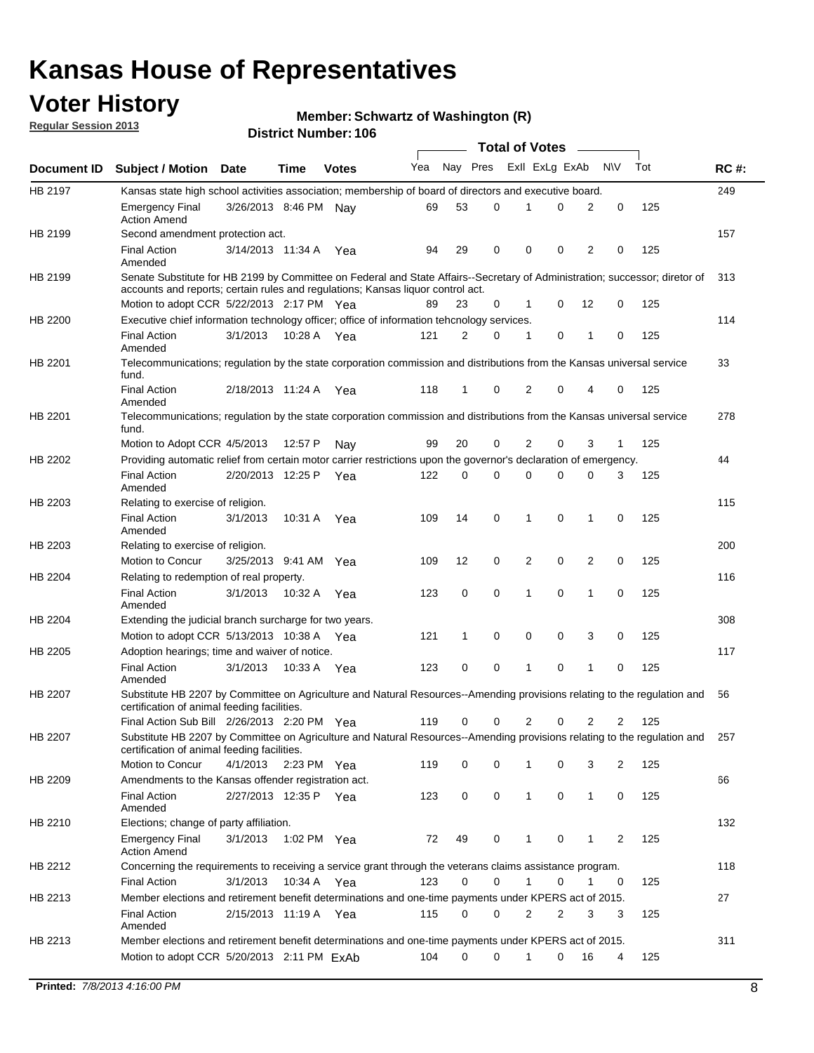## **Voter History**

**Member: Schwartz of Washington (R)** 

**Regular Session 2013**

|             |                                                                                                                                                                                                                |                       |             |              |     |             |          | <b>Total of Votes</b> |   |                |              |     |             |
|-------------|----------------------------------------------------------------------------------------------------------------------------------------------------------------------------------------------------------------|-----------------------|-------------|--------------|-----|-------------|----------|-----------------------|---|----------------|--------------|-----|-------------|
| Document ID | <b>Subject / Motion Date</b>                                                                                                                                                                                   |                       | Time        | <b>Votes</b> | Yea | Nay Pres    |          | Exll ExLg ExAb        |   |                | <b>NV</b>    | Tot | <b>RC#:</b> |
| HB 2197     | Kansas state high school activities association; membership of board of directors and executive board.                                                                                                         |                       |             |              |     |             |          |                       |   |                |              |     | 249         |
|             | <b>Emergency Final</b><br><b>Action Amend</b>                                                                                                                                                                  | 3/26/2013 8:46 PM Nay |             |              | 69  | 53          | 0        |                       | 0 | 2              | 0            | 125 |             |
| HB 2199     | Second amendment protection act.                                                                                                                                                                               |                       |             |              |     |             |          |                       |   |                |              |     | 157         |
|             | <b>Final Action</b><br>Amended                                                                                                                                                                                 | 3/14/2013 11:34 A     |             | Yea          | 94  | 29          | 0        | 0                     | 0 | 2              | 0            | 125 |             |
| HB 2199     | Senate Substitute for HB 2199 by Committee on Federal and State Affairs--Secretary of Administration; successor; diretor of<br>accounts and reports; certain rules and regulations; Kansas liquor control act. |                       |             |              |     |             |          |                       |   |                |              |     | 313         |
|             | Motion to adopt CCR 5/22/2013 2:17 PM Yea                                                                                                                                                                      |                       |             |              | 89  | 23          | 0        | 1                     | 0 | 12             | 0            | 125 |             |
| HB 2200     | Executive chief information technology officer; office of information tehcnology services.                                                                                                                     |                       |             |              |     |             |          |                       |   |                |              |     | 114         |
|             | <b>Final Action</b><br>Amended                                                                                                                                                                                 | 3/1/2013              | 10:28 A     | Yea          | 121 | 2           | 0        | 1                     | 0 | 1              | 0            | 125 |             |
| HB 2201     | Telecommunications; regulation by the state corporation commission and distributions from the Kansas universal service<br>fund.                                                                                |                       |             |              |     |             |          |                       |   |                |              |     | 33          |
|             | <b>Final Action</b><br>Amended                                                                                                                                                                                 | 2/18/2013 11:24 A     |             | Yea          | 118 | 1           | 0        | 2                     | 0 | 4              | 0            | 125 |             |
| HB 2201     | Telecommunications; regulation by the state corporation commission and distributions from the Kansas universal service<br>fund.                                                                                |                       |             |              |     |             |          |                       |   |                |              |     | 278         |
|             | Motion to Adopt CCR 4/5/2013                                                                                                                                                                                   |                       | 12:57 P     | Nav          | 99  | 20          | 0        | 2                     | 0 | 3              | $\mathbf{1}$ | 125 |             |
| HB 2202     | Providing automatic relief from certain motor carrier restrictions upon the governor's declaration of emergency.                                                                                               |                       |             |              |     |             |          |                       |   |                |              |     | 44          |
|             | <b>Final Action</b><br>Amended                                                                                                                                                                                 | 2/20/2013 12:25 P     |             | Yea          | 122 | 0           | 0        | 0                     | 0 | 0              | 3            | 125 |             |
| HB 2203     | Relating to exercise of religion.                                                                                                                                                                              |                       |             |              |     |             |          |                       |   |                |              |     | 115         |
|             | <b>Final Action</b><br>Amended                                                                                                                                                                                 | 3/1/2013              | 10:31 A     | Yea          | 109 | 14          | 0        | 1                     | 0 | 1              | 0            | 125 |             |
| HB 2203     | Relating to exercise of religion.                                                                                                                                                                              |                       |             |              |     |             |          |                       |   |                |              |     | 200         |
|             | Motion to Concur                                                                                                                                                                                               | 3/25/2013 9:41 AM     |             | Yea          | 109 | 12          | 0        | 2                     | 0 | 2              | 0            | 125 |             |
| HB 2204     | Relating to redemption of real property.                                                                                                                                                                       |                       |             |              |     |             |          |                       |   |                |              |     | 116         |
|             | <b>Final Action</b><br>Amended                                                                                                                                                                                 | 3/1/2013              | 10:32 A     | Yea          | 123 | $\mathbf 0$ | 0        | 1                     | 0 | $\mathbf{1}$   | 0            | 125 |             |
| HB 2204     | Extending the judicial branch surcharge for two years.                                                                                                                                                         |                       |             |              |     |             |          |                       |   |                |              |     | 308         |
|             | Motion to adopt CCR 5/13/2013 10:38 A Yea                                                                                                                                                                      |                       |             |              | 121 | 1           | 0        | 0                     | 0 | 3              | 0            | 125 |             |
| HB 2205     | Adoption hearings; time and waiver of notice.                                                                                                                                                                  |                       |             |              |     |             |          |                       |   |                |              |     | 117         |
|             | <b>Final Action</b><br>Amended                                                                                                                                                                                 | 3/1/2013              | 10:33 A Yea |              | 123 | 0           | 0        | 1                     | 0 | 1              | 0            | 125 |             |
| HB 2207     | Substitute HB 2207 by Committee on Agriculture and Natural Resources--Amending provisions relating to the regulation and<br>certification of animal feeding facilities.                                        |                       |             |              |     |             |          |                       |   |                |              |     | 56          |
|             | Final Action Sub Bill 2/26/2013 2:20 PM Yea                                                                                                                                                                    |                       |             |              | 119 | 0           | 0        | 2                     | 0 | $\overline{2}$ | 2            | 125 |             |
| HB 2207     | Substitute HB 2207 by Committee on Agriculture and Natural Resources--Amending provisions relating to the regulation and 257<br>certification of animal feeding facilities.                                    |                       |             |              |     |             |          |                       |   |                |              |     |             |
|             | Motion to Concur                                                                                                                                                                                               | 4/1/2013              | 2:23 PM Yea |              | 119 | 0           | 0        | 1                     | 0 | 3              | 2            | 125 |             |
| HB 2209     | Amendments to the Kansas offender registration act.                                                                                                                                                            |                       |             |              |     |             |          |                       |   |                |              |     | 66          |
|             | <b>Final Action</b><br>Amended                                                                                                                                                                                 | 2/27/2013 12:35 P Yea |             |              | 123 | 0           | 0        | $\mathbf{1}$          | 0 | $\mathbf{1}$   | 0            | 125 |             |
| HB 2210     | Elections; change of party affiliation.                                                                                                                                                                        |                       |             |              |     |             |          |                       |   |                |              |     | 132         |
|             | <b>Emergency Final</b><br><b>Action Amend</b>                                                                                                                                                                  | 3/1/2013              | 1:02 PM Yea |              | 72  | 49          | 0        |                       | 0 | 1              | 2            | 125 |             |
| HB 2212     | Concerning the requirements to receiving a service grant through the veterans claims assistance program.                                                                                                       |                       |             |              |     |             |          |                       |   |                |              |     | 118         |
|             | <b>Final Action</b>                                                                                                                                                                                            | 3/1/2013              |             | 10:34 A Yea  | 123 | 0           | 0        | $\mathbf{1}$          | 0 | 1              | 0            | 125 |             |
| HB 2213     | Member elections and retirement benefit determinations and one-time payments under KPERS act of 2015.                                                                                                          |                       |             |              |     |             |          |                       |   |                |              |     | 27          |
|             | <b>Final Action</b><br>Amended                                                                                                                                                                                 | 2/15/2013 11:19 A Yea |             |              | 115 | 0           | 0        | 2                     | 2 | 3              | 3            | 125 |             |
| HB 2213     | Member elections and retirement benefit determinations and one-time payments under KPERS act of 2015.                                                                                                          |                       |             |              |     |             |          |                       |   |                |              |     | 311         |
|             | Motion to adopt CCR 5/20/2013 2:11 PM ExAb                                                                                                                                                                     |                       |             |              | 104 | $\Omega$    | $\Omega$ | 1                     | 0 | 16             | 4            | 125 |             |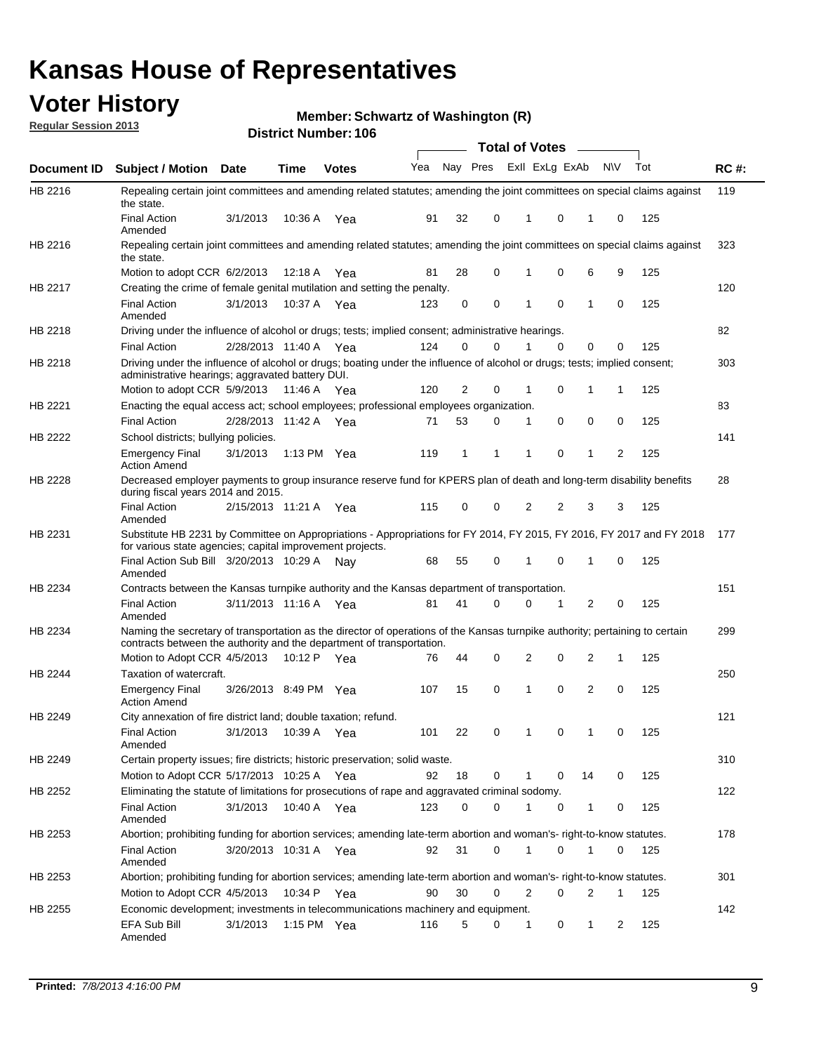## **Voter History**

**Member: Schwartz of Washington (R)** 

**Regular Session 2013**

|                |                                                                                                                                                                                                       |                       |             | <b>DISTRICT MAILINGL. 100</b> |     |                |          | Total of Votes – |    |           |     |             |
|----------------|-------------------------------------------------------------------------------------------------------------------------------------------------------------------------------------------------------|-----------------------|-------------|-------------------------------|-----|----------------|----------|------------------|----|-----------|-----|-------------|
| Document ID    | <b>Subject / Motion Date</b>                                                                                                                                                                          |                       | <b>Time</b> | <b>Votes</b>                  | Yea |                | Nay Pres | Exll ExLg ExAb   |    | <b>NV</b> | Tot | <b>RC#:</b> |
| HB 2216        | Repealing certain joint committees and amending related statutes; amending the joint committees on special claims against<br>the state.                                                               |                       |             |                               |     |                |          |                  |    |           |     | 119         |
|                | <b>Final Action</b><br>Amended                                                                                                                                                                        | 3/1/2013              | 10:36 A     | Yea                           | 91  | 32             | 0        | 0<br>1           | 1  | 0         | 125 |             |
| HB 2216        | Repealing certain joint committees and amending related statutes; amending the joint committees on special claims against<br>the state.                                                               |                       |             |                               |     |                |          |                  |    |           |     | 323         |
|                | Motion to adopt CCR 6/2/2013                                                                                                                                                                          |                       | 12:18 A     | Yea                           | 81  | 28             | 0        | 0<br>1           | 6  | 9         | 125 |             |
| HB 2217        | Creating the crime of female genital mutilation and setting the penalty.                                                                                                                              |                       |             |                               |     |                |          |                  |    |           |     | 120         |
|                | <b>Final Action</b><br>Amended                                                                                                                                                                        | 3/1/2013              |             | 10:37 A Yea                   | 123 | 0              | 0        | 0<br>1           | 1  | 0         | 125 |             |
| HB 2218        | Driving under the influence of alcohol or drugs; tests; implied consent; administrative hearings.                                                                                                     |                       |             |                               |     |                |          |                  |    |           |     | 82          |
|                | <b>Final Action</b>                                                                                                                                                                                   | 2/28/2013 11:40 A     |             | Yea                           | 124 | 0              | 0        | $\Omega$         | 0  | 0         | 125 |             |
| HB 2218        | Driving under the influence of alcohol or drugs; boating under the influence of alcohol or drugs; tests; implied consent;<br>administrative hearings; aggravated battery DUI.                         |                       |             |                               |     |                |          |                  |    |           |     | 303         |
|                | Motion to adopt CCR 5/9/2013                                                                                                                                                                          |                       | 11:46 A     | Yea                           | 120 | $\overline{2}$ | 0        | 0<br>1           | 1  | 1         | 125 |             |
| HB 2221        | Enacting the equal access act; school employees; professional employees organization.                                                                                                                 |                       |             |                               |     |                |          |                  |    |           |     | 83          |
|                | <b>Final Action</b>                                                                                                                                                                                   | 2/28/2013 11:42 A     |             | Yea                           | 71  | 53             | 0        | 0<br>1           | 0  | 0         | 125 |             |
| HB 2222        | School districts; bullying policies.                                                                                                                                                                  |                       |             |                               |     |                |          |                  |    |           |     | 141         |
|                | <b>Emergency Final</b><br><b>Action Amend</b>                                                                                                                                                         | 3/1/2013              |             | 1:13 PM $Yea$                 | 119 | 1              | 1        | 0<br>1           | 1  | 2         | 125 |             |
| HB 2228        | Decreased employer payments to group insurance reserve fund for KPERS plan of death and long-term disability benefits<br>during fiscal years 2014 and 2015.                                           |                       |             |                               |     |                |          |                  |    |           |     | 28          |
|                | <b>Final Action</b><br>Amended                                                                                                                                                                        | 2/15/2013 11:21 A     |             | Yea                           | 115 | 0              | 0        | 2<br>2           | 3  | 3         | 125 |             |
| HB 2231        | Substitute HB 2231 by Committee on Appropriations - Appropriations for FY 2014, FY 2015, FY 2016, FY 2017 and FY 2018<br>for various state agencies; capital improvement projects.                    |                       |             |                               |     |                |          |                  |    |           |     | 177         |
|                | Final Action Sub Bill 3/20/2013 10:29 A<br>Amended                                                                                                                                                    |                       |             | Nav                           | 68  | 55             | 0        | 0                | 1  | 0         | 125 |             |
| HB 2234        | Contracts between the Kansas turnpike authority and the Kansas department of transportation.                                                                                                          |                       |             |                               |     |                |          |                  |    |           |     | 151         |
|                | <b>Final Action</b><br>Amended                                                                                                                                                                        | 3/11/2013 11:16 A Yea |             |                               | 81  | 41             | 0        | $\Omega$<br>1    | 2  | 0         | 125 |             |
| HB 2234        | Naming the secretary of transportation as the director of operations of the Kansas turnpike authority; pertaining to certain<br>contracts between the authority and the department of transportation. |                       |             |                               |     |                |          |                  |    |           |     | 299         |
|                | Motion to Adopt CCR 4/5/2013                                                                                                                                                                          |                       | 10:12 P     | Yea                           | 76  | 44             | 0        | 2<br>0           | 2  | 1         | 125 |             |
| <b>HB 2244</b> | Taxation of watercraft.<br><b>Emergency Final</b>                                                                                                                                                     | 3/26/2013 8:49 PM Yea |             |                               | 107 | 15             | 0        | 0<br>1           | 2  | 0         | 125 | 250         |
|                | <b>Action Amend</b>                                                                                                                                                                                   |                       |             |                               |     |                |          |                  |    |           |     |             |
| HB 2249        | City annexation of fire district land; double taxation; refund.                                                                                                                                       |                       |             |                               |     |                |          |                  |    |           |     | 121         |
|                | Final Action 3/1/2013 10:39 A Yea<br>Amended                                                                                                                                                          |                       |             |                               | 101 | 22             | 0        | $\mathbf 0$      |    |           | 125 |             |
| HB 2249        | Certain property issues; fire districts; historic preservation; solid waste.                                                                                                                          |                       |             |                               |     |                |          |                  |    |           |     | 310         |
|                | Motion to Adopt CCR 5/17/2013 10:25 A Yea                                                                                                                                                             |                       |             |                               | 92  | 18             | 0        | 0<br>1           | 14 | 0         | 125 |             |
| HB 2252        | Eliminating the statute of limitations for prosecutions of rape and aggravated criminal sodomy.                                                                                                       |                       |             |                               |     |                |          |                  |    |           |     | 122         |
|                | <b>Final Action</b><br>Amended                                                                                                                                                                        | 3/1/2013              |             | 10:40 A Yea                   | 123 | 0              | 0        | 0                | 1  | 0         | 125 |             |
| HB 2253        | Abortion; prohibiting funding for abortion services; amending late-term abortion and woman's- right-to-know statutes.                                                                                 |                       |             |                               |     |                |          |                  |    |           |     | 178         |
|                | <b>Final Action</b><br>Amended                                                                                                                                                                        | 3/20/2013 10:31 A Yea |             |                               | 92  | 31             | 0        | 1<br>0           | 1  | 0         | 125 |             |
| HB 2253        | Abortion; prohibiting funding for abortion services; amending late-term abortion and woman's- right-to-know statutes.                                                                                 |                       |             |                               |     |                |          |                  |    |           |     | 301         |
|                | Motion to Adopt CCR 4/5/2013                                                                                                                                                                          |                       |             | 10:34 P Yea                   | 90  | 30             | 0        | 2<br>0           | 2  | 1         | 125 |             |
| HB 2255        | Economic development; investments in telecommunications machinery and equipment.                                                                                                                      |                       |             |                               |     |                |          |                  |    |           |     | 142         |
|                | EFA Sub Bill<br>Amended                                                                                                                                                                               | 3/1/2013              |             | 1:15 PM Yea                   | 116 | 5              | 0        | 0<br>1           | 1  | 2         | 125 |             |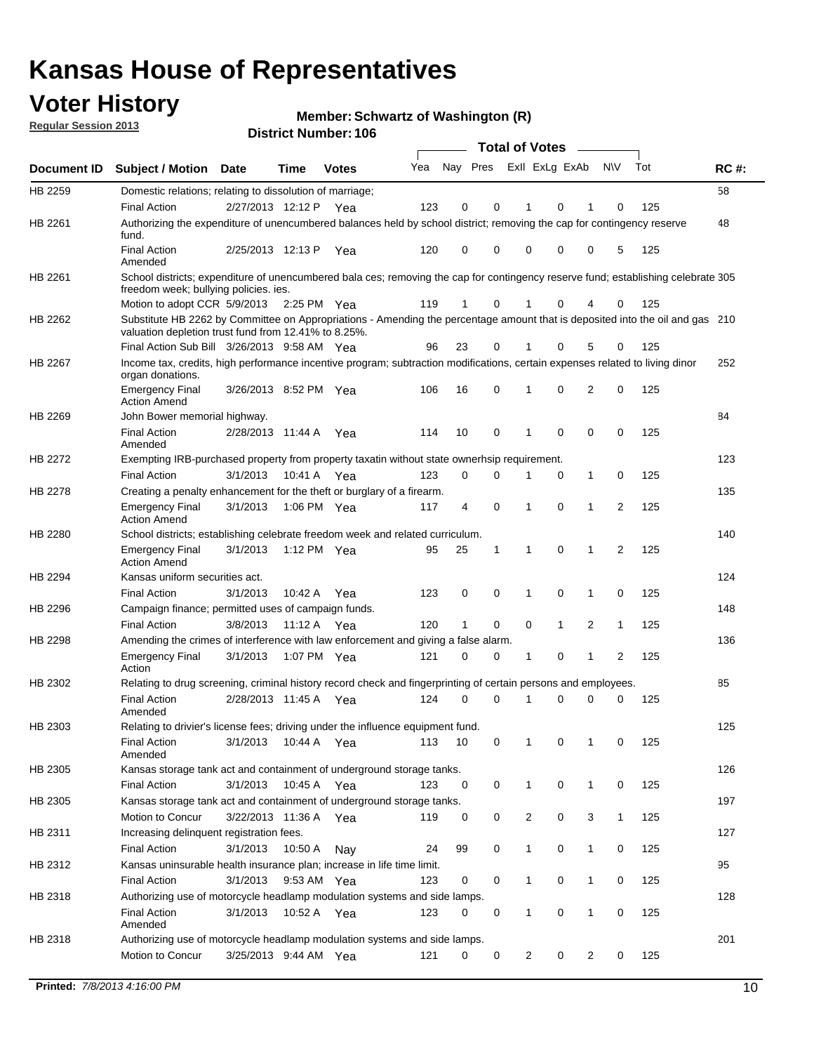## **Voter History**

**Member: Schwartz of Washington (R)** 

**Regular Session 2013**

|                    |                                                                                                                                                                                       |                       |                       | <b>DISTICL MUILIDEL. TUD</b> |     |          |          | Total of Votes – |                |                |              |                |     |             |
|--------------------|---------------------------------------------------------------------------------------------------------------------------------------------------------------------------------------|-----------------------|-----------------------|------------------------------|-----|----------|----------|------------------|----------------|----------------|--------------|----------------|-----|-------------|
| <b>Document ID</b> | <b>Subject / Motion</b>                                                                                                                                                               | <b>Date</b>           | Time                  | <b>Votes</b>                 | Yea | Nay Pres |          |                  |                | Exll ExLg ExAb |              | <b>NV</b>      | Tot | <b>RC#:</b> |
| HB 2259            | Domestic relations; relating to dissolution of marriage;                                                                                                                              |                       |                       |                              |     |          |          |                  |                |                |              |                |     | 58          |
|                    | <b>Final Action</b>                                                                                                                                                                   | 2/27/2013 12:12 P     |                       | Yea                          | 123 | 0        | 0        |                  | 1              | 0              | 1            | 0              | 125 |             |
| HB 2261            | Authorizing the expenditure of unencumbered balances held by school district; removing the cap for contingency reserve<br>fund.                                                       |                       |                       |                              |     |          |          |                  |                |                |              |                |     | 48          |
|                    | <b>Final Action</b><br>Amended                                                                                                                                                        | 2/25/2013 12:13 P     |                       | Yea                          | 120 | 0        | 0        |                  | 0              | 0              | 0            | 5              | 125 |             |
| HB 2261            | School districts; expenditure of unencumbered bala ces; removing the cap for contingency reserve fund; establishing celebrate 305<br>freedom week; bullying policies. ies.            |                       |                       |                              |     |          |          |                  |                |                |              |                |     |             |
|                    | Motion to adopt CCR 5/9/2013                                                                                                                                                          |                       | $2:25 \text{ PM}$ Yea |                              | 119 | 1        | 0        |                  |                | 0              | 4            | 0              | 125 |             |
| HB 2262            | Substitute HB 2262 by Committee on Appropriations - Amending the percentage amount that is deposited into the oil and gas 210<br>valuation depletion trust fund from 12.41% to 8.25%. |                       |                       |                              |     |          |          |                  |                |                |              |                |     |             |
|                    | Final Action Sub Bill 3/26/2013 9:58 AM Yea                                                                                                                                           |                       |                       |                              | 96  | 23       | 0        |                  |                | 0              | 5            | 0              | 125 |             |
| HB 2267            | Income tax, credits, high performance incentive program; subtraction modifications, certain expenses related to living dinor                                                          |                       |                       |                              |     |          |          |                  |                |                |              |                |     | 252         |
|                    | organ donations.<br><b>Emergency Final</b>                                                                                                                                            | 3/26/2013 8:52 PM Yea |                       |                              | 106 | 16       | 0        |                  | 1              | 0              | 2            | 0              | 125 |             |
|                    | <b>Action Amend</b>                                                                                                                                                                   |                       |                       |                              |     |          |          |                  |                |                |              |                |     |             |
| HB 2269            | John Bower memorial highway.                                                                                                                                                          |                       |                       |                              |     |          |          |                  |                |                |              |                |     | 84          |
|                    | <b>Final Action</b><br>Amended                                                                                                                                                        | 2/28/2013 11:44 A     |                       | Yea                          | 114 | 10       | 0        |                  | 1              | 0              | 0            | 0              | 125 |             |
| HB 2272            | Exempting IRB-purchased property from property taxatin without state ownerhsip requirement.                                                                                           |                       |                       |                              |     |          |          |                  |                |                |              |                |     | 123         |
|                    | <b>Final Action</b>                                                                                                                                                                   | 3/1/2013              | 10:41 A               | Yea                          | 123 | 0        | 0        |                  | 1              | 0              | $\mathbf{1}$ | 0              | 125 |             |
| HB 2278            | Creating a penalty enhancement for the theft or burglary of a firearm.                                                                                                                |                       |                       |                              |     |          |          |                  |                |                |              |                |     | 135         |
|                    | <b>Emergency Final</b><br><b>Action Amend</b>                                                                                                                                         | 3/1/2013              | 1:06 PM Yea           |                              | 117 | 4        | 0        |                  | 1              | 0              | 1            | $\overline{2}$ | 125 |             |
| HB 2280            | School districts; establishing celebrate freedom week and related curriculum.                                                                                                         |                       |                       |                              |     |          |          |                  |                |                |              |                |     | 140         |
|                    | <b>Emergency Final</b><br><b>Action Amend</b>                                                                                                                                         | 3/1/2013              | 1:12 PM Yea           |                              | 95  | 25       | 1        |                  | 1              | 0              | 1            | 2              | 125 |             |
| HB 2294            | Kansas uniform securities act.                                                                                                                                                        |                       |                       |                              |     |          |          |                  |                |                |              |                |     | 124         |
|                    | <b>Final Action</b>                                                                                                                                                                   | 3/1/2013              | 10:42 A               | Yea                          | 123 | 0        | 0        |                  | 1              | 0              | 1            | 0              | 125 |             |
| HB 2296            | Campaign finance; permitted uses of campaign funds.                                                                                                                                   |                       |                       |                              |     |          |          |                  |                |                |              |                |     | 148         |
|                    | <b>Final Action</b>                                                                                                                                                                   | 3/8/2013              | 11:12 A               | Yea                          | 120 | 1        | 0        |                  | 0              | 1              | 2            | $\mathbf{1}$   | 125 |             |
| HB 2298            | Amending the crimes of interference with law enforcement and giving a false alarm.                                                                                                    |                       |                       |                              |     |          |          |                  |                |                |              |                |     | 136         |
|                    | <b>Emergency Final</b><br>Action                                                                                                                                                      | 3/1/2013              | 1:07 PM Yea           |                              | 121 | 0        | 0        |                  | 1              | 0              | 1            | 2              | 125 |             |
| HB 2302            | Relating to drug screening, criminal history record check and fingerprinting of certain persons and employees.                                                                        |                       |                       |                              |     |          |          |                  |                |                |              |                |     | 85          |
|                    | Final Action<br>Amended                                                                                                                                                               | 2/28/2013 11:45 A Yea |                       |                              | 124 | $\Omega$ | $\Omega$ |                  | 1              | 0              | 0            | 0              | 125 |             |
| HB 2303            | Relating to drivier's license fees; driving under the influence equipment fund.                                                                                                       |                       |                       |                              |     |          |          |                  |                |                |              |                |     | 125         |
|                    | <b>Final Action</b><br>Amended                                                                                                                                                        | 3/1/2013              | 10:44 A               | Yea                          | 113 | 10       | 0        |                  |                | 0              |              | 0              | 125 |             |
| HB 2305            | Kansas storage tank act and containment of underground storage tanks.                                                                                                                 |                       |                       |                              |     |          |          |                  |                |                |              |                |     | 126         |
|                    | <b>Final Action</b>                                                                                                                                                                   | 3/1/2013              | 10:45 A               | Yea                          | 123 | 0        | 0        |                  | 1              | 0              | $\mathbf{1}$ | 0              | 125 |             |
| HB 2305            | Kansas storage tank act and containment of underground storage tanks.                                                                                                                 |                       |                       |                              |     |          |          |                  |                |                |              |                |     | 197         |
|                    | Motion to Concur                                                                                                                                                                      | 3/22/2013 11:36 A     |                       | Yea                          | 119 | 0        | 0        |                  | $\overline{c}$ | 0              | 3            | $\mathbf{1}$   | 125 |             |
| HB 2311            | Increasing delinquent registration fees.                                                                                                                                              |                       |                       |                              |     |          |          |                  |                |                |              |                |     | 127         |
|                    | <b>Final Action</b>                                                                                                                                                                   | 3/1/2013              | 10:50 A               | Nay                          | 24  | 99       | 0        |                  | 1              | 0              | $\mathbf{1}$ | 0              | 125 |             |
| HB 2312            | Kansas uninsurable health insurance plan; increase in life time limit.                                                                                                                |                       |                       |                              |     |          |          |                  |                |                |              |                |     | 95          |
|                    | <b>Final Action</b>                                                                                                                                                                   | 3/1/2013              |                       | 9:53 AM Yea                  | 123 | 0        | 0        |                  | 1              | 0              | $\mathbf{1}$ | 0              | 125 |             |
| HB 2318            | Authorizing use of motorcycle headlamp modulation systems and side lamps.                                                                                                             |                       |                       |                              |     |          |          |                  |                |                |              |                |     | 128         |
|                    | <b>Final Action</b><br>Amended                                                                                                                                                        | 3/1/2013              | 10:52 A               | Yea                          | 123 | 0        | 0        |                  | 1              | 0              | 1            | 0              | 125 |             |
| HB 2318            | Authorizing use of motorcycle headlamp modulation systems and side lamps.                                                                                                             |                       |                       |                              |     |          |          |                  |                |                |              |                |     | 201         |
|                    | Motion to Concur                                                                                                                                                                      | 3/25/2013 9:44 AM Yea |                       |                              | 121 | 0        | 0        |                  | 2              | 0              | 2            | 0              | 125 |             |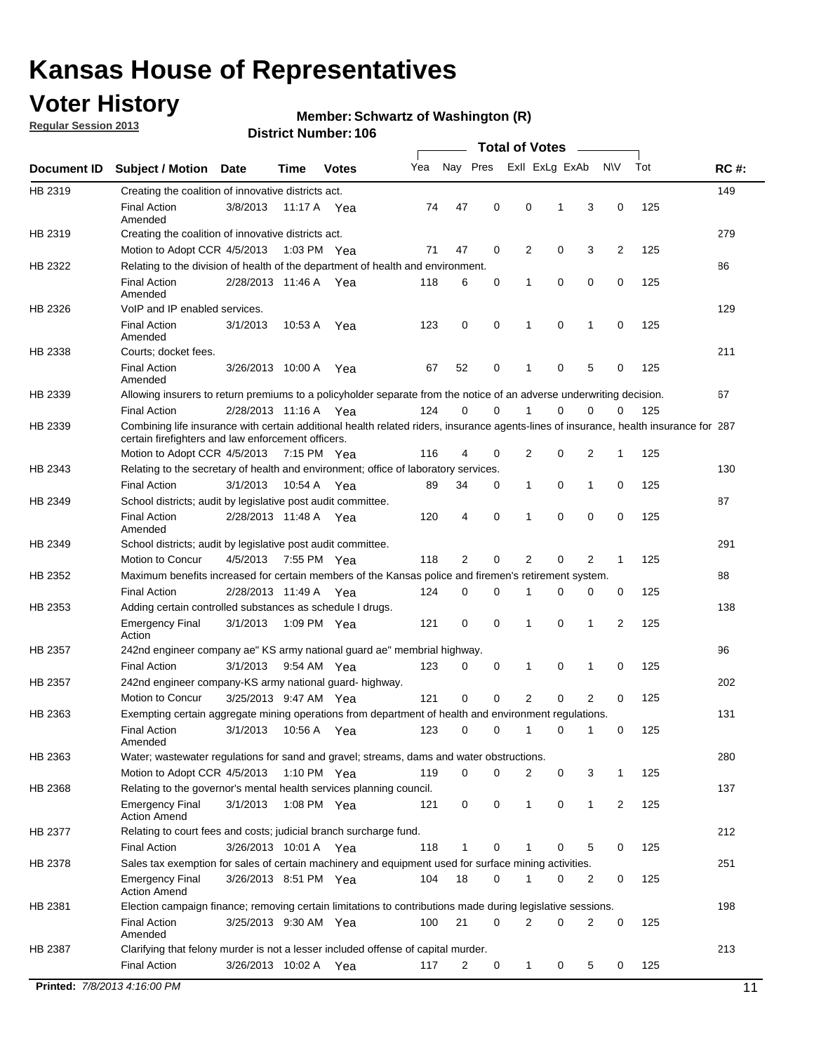## **Voter History**

**Regular Session 2013**

#### **Member: Schwartz of Washington (R)**

|             |                                                                                                                                                                                             |                       |             |               |     |             |             | <b>Total of Votes</b> |             |                |             |     |             |
|-------------|---------------------------------------------------------------------------------------------------------------------------------------------------------------------------------------------|-----------------------|-------------|---------------|-----|-------------|-------------|-----------------------|-------------|----------------|-------------|-----|-------------|
| Document ID | <b>Subject / Motion</b>                                                                                                                                                                     | Date                  | Time        | <b>Votes</b>  | Yea | Nay Pres    |             | Exll ExLg ExAb        |             |                | <b>NV</b>   | Tot | <b>RC#:</b> |
| HB 2319     | Creating the coalition of innovative districts act.                                                                                                                                         |                       |             |               |     |             |             |                       |             |                |             |     | 149         |
|             | <b>Final Action</b><br>Amended                                                                                                                                                              | 3/8/2013              | 11:17 A     | Yea           | 74  | 47          | 0           | 0                     | 1           | 3              | 0           | 125 |             |
| HB 2319     | Creating the coalition of innovative districts act.<br>Motion to Adopt CCR 4/5/2013                                                                                                         |                       |             | 1:03 PM Yea   | 71  | 47          | 0           | 2                     | 0           | 3              | 2           | 125 | 279         |
| HB 2322     | Relating to the division of health of the department of health and environment.                                                                                                             |                       |             |               |     |             |             |                       |             |                |             |     | 86          |
|             | <b>Final Action</b><br>Amended                                                                                                                                                              | 2/28/2013 11:46 A Yea |             |               | 118 | 6           | 0           | 1                     | 0           | 0              | 0           | 125 |             |
| HB 2326     | VoIP and IP enabled services.                                                                                                                                                               |                       |             |               |     |             |             |                       |             |                |             |     | 129         |
|             | <b>Final Action</b><br>Amended                                                                                                                                                              | 3/1/2013              | 10:53 A     | Yea           | 123 | $\mathbf 0$ | 0           | 1                     | $\mathbf 0$ | 1              | $\mathbf 0$ | 125 |             |
| HB 2338     | Courts; docket fees.                                                                                                                                                                        |                       |             |               |     |             |             |                       |             |                |             |     | 211         |
|             | <b>Final Action</b><br>Amended                                                                                                                                                              | 3/26/2013 10:00 A     |             | Yea           | 67  | 52          | 0           | $\mathbf 1$           | 0           | 5              | 0           | 125 |             |
| HB 2339     | Allowing insurers to return premiums to a policyholder separate from the notice of an adverse underwriting decision.                                                                        |                       |             |               |     |             |             |                       |             |                |             |     | 67          |
|             | <b>Final Action</b>                                                                                                                                                                         | 2/28/2013 11:16 A Yea |             |               | 124 | 0           | 0           | 1                     | 0           | 0              | 0           | 125 |             |
| HB 2339     | Combining life insurance with certain additional health related riders, insurance agents-lines of insurance, health insurance for 287<br>certain firefighters and law enforcement officers. |                       |             |               |     |             |             |                       |             |                |             |     |             |
|             | Motion to Adopt CCR 4/5/2013 7:15 PM Yea                                                                                                                                                    |                       |             |               | 116 | 4           | 0           | 2                     | 0           | 2              | 1           | 125 |             |
| HB 2343     | Relating to the secretary of health and environment; office of laboratory services.                                                                                                         |                       |             |               |     |             |             |                       |             |                |             |     | 130         |
|             | <b>Final Action</b>                                                                                                                                                                         | 3/1/2013              | 10:54 A Yea |               | 89  | 34          | 0           | $\mathbf{1}$          | 0           | 1              | 0           | 125 |             |
| HB 2349     | School districts; audit by legislative post audit committee.<br><b>Final Action</b>                                                                                                         | 2/28/2013 11:48 A Yea |             |               | 120 | 4           | 0           | 1                     | $\Omega$    | $\Omega$       | 0           | 125 | 87          |
|             | Amended                                                                                                                                                                                     |                       |             |               |     |             |             |                       |             |                |             |     |             |
| HB 2349     | School districts; audit by legislative post audit committee.<br>Motion to Concur                                                                                                            | 4/5/2013              |             | 7:55 PM Yea   | 118 | 2           | 0           | 2                     | 0           | $\overline{2}$ | 1           | 125 | 291         |
| HB 2352     | Maximum benefits increased for certain members of the Kansas police and firemen's retirement system.                                                                                        |                       |             |               |     |             |             |                       |             |                |             |     | 88          |
|             | <b>Final Action</b>                                                                                                                                                                         | 2/28/2013 11:49 A     |             |               | 124 | 0           | 0           | 1                     | 0           | 0              | 0           | 125 |             |
| HB 2353     | Adding certain controlled substances as schedule I drugs.                                                                                                                                   |                       |             | Yea           |     |             |             |                       |             |                |             |     | 138         |
|             | <b>Emergency Final</b><br>Action                                                                                                                                                            | 3/1/2013              |             | 1:09 PM Yea   | 121 | $\mathbf 0$ | 0           | 1                     | 0           | 1              | 2           | 125 |             |
| HB 2357     | 242nd engineer company ae" KS army national guard ae" membrial highway.                                                                                                                     |                       |             |               |     |             |             |                       |             |                |             |     | 96          |
|             | <b>Final Action</b>                                                                                                                                                                         | 3/1/2013              |             | 9:54 AM Yea   | 123 | 0           | 0           | 1                     | 0           | 1              | 0           | 125 |             |
| HB 2357     | 242nd engineer company-KS army national guard- highway.                                                                                                                                     |                       |             |               |     |             |             |                       |             |                |             |     | 202         |
|             | Motion to Concur                                                                                                                                                                            | 3/25/2013 9:47 AM Yea |             |               | 121 | $\mathbf 0$ | $\mathbf 0$ | $\overline{2}$        | $\mathbf 0$ | $\overline{2}$ | 0           | 125 |             |
| HB 2363     | Exempting certain aggregate mining operations from department of health and environment regulations.                                                                                        |                       |             |               |     |             |             |                       |             |                |             |     | 131         |
|             | <b>Final Action</b><br>Amended                                                                                                                                                              | 3/1/2013              | 10:56 A     | Yea           | 123 | 0           | 0           | 1                     | 0           | 1              | 0           | 125 |             |
| HB 2363     | Water; wastewater regulations for sand and gravel; streams, dams and water obstructions.                                                                                                    |                       |             |               |     |             |             |                       |             |                |             |     | 280         |
|             | Motion to Adopt CCR 4/5/2013                                                                                                                                                                |                       |             | 1:10 PM $Yea$ | 119 | 0           | 0           | 2                     | 0           | 3              | 1           | 125 |             |
| HB 2368     | Relating to the governor's mental health services planning council.                                                                                                                         |                       |             |               |     |             |             |                       |             |                |             |     | 137         |
|             | <b>Emergency Final</b><br><b>Action Amend</b>                                                                                                                                               | 3/1/2013              |             | 1:08 PM Yea   | 121 | 0           | 0           | $\mathbf{1}$          | 0           | 1              | 2           | 125 |             |
| HB 2377     | Relating to court fees and costs; judicial branch surcharge fund.                                                                                                                           |                       |             |               |     |             |             |                       |             |                |             |     | 212         |
|             | <b>Final Action</b>                                                                                                                                                                         | 3/26/2013 10:01 A Yea |             |               | 118 | 1           | 0           |                       | 0           | 5              | 0           | 125 |             |
| HB 2378     | Sales tax exemption for sales of certain machinery and equipment used for surface mining activities.                                                                                        |                       |             |               |     |             |             |                       |             |                |             |     | 251         |
|             | <b>Emergency Final</b><br><b>Action Amend</b>                                                                                                                                               | 3/26/2013 8:51 PM Yea |             |               | 104 | 18          | 0           | 1                     | 0           | 2              | 0           | 125 |             |
| HB 2381     | Election campaign finance; removing certain limitations to contributions made during legislative sessions.                                                                                  |                       |             |               |     |             |             |                       |             |                |             |     | 198         |
|             | <b>Final Action</b><br>Amended                                                                                                                                                              | 3/25/2013 9:30 AM Yea |             |               | 100 | 21          | 0           | $\overline{2}$        | 0           | 2              | 0           | 125 |             |
| HB 2387     | Clarifying that felony murder is not a lesser included offense of capital murder.                                                                                                           |                       |             |               |     |             |             |                       |             |                |             |     | 213         |
|             | <b>Final Action</b>                                                                                                                                                                         | 3/26/2013 10:02 A     |             | Yea           | 117 | 2           | 0           | $\mathbf{1}$          | 0           | 5              | 0           | 125 |             |
|             | Printed: 7/8/2013 4:16:00 PM                                                                                                                                                                |                       |             |               |     |             |             |                       |             |                |             |     | 11          |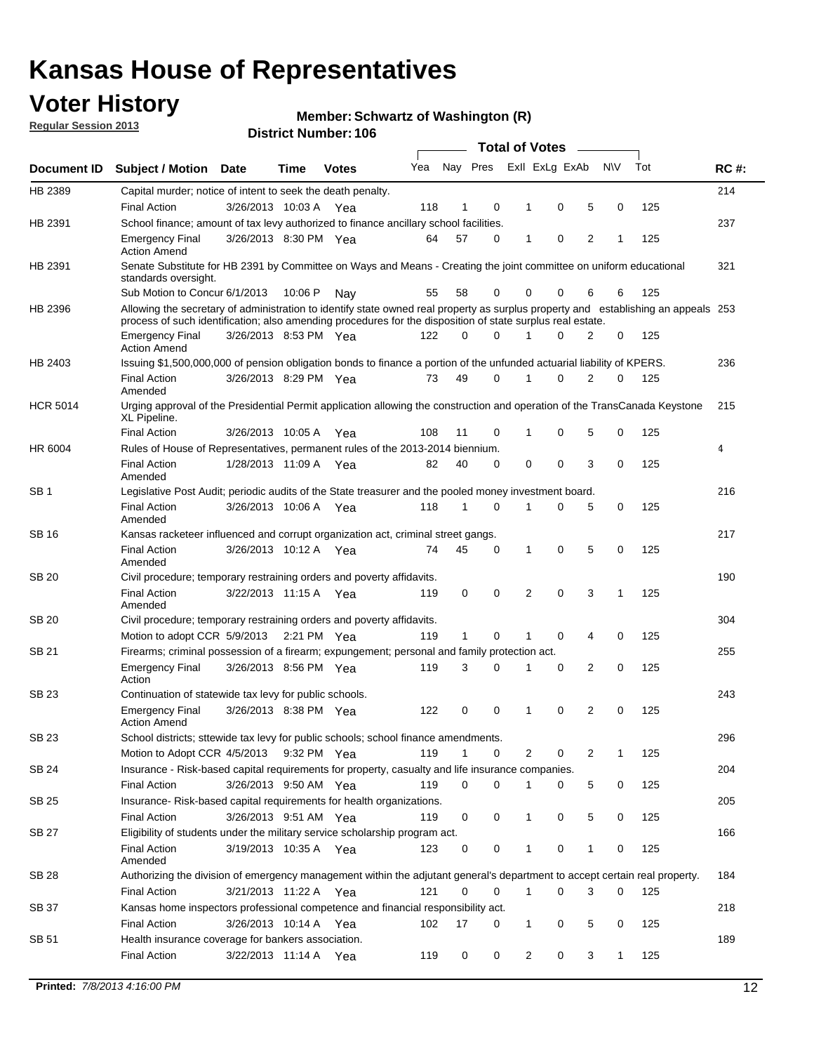## **Voter History**

**Regular Session 2013**

#### **Member: Schwartz of Washington (R)**

|                 |                                                                                                                                                                                                                                                  |                       |         | <b>DISTICL MUILIDEL. TUD</b> |     |    |             | Total of Votes - |             |                |             |     |             |
|-----------------|--------------------------------------------------------------------------------------------------------------------------------------------------------------------------------------------------------------------------------------------------|-----------------------|---------|------------------------------|-----|----|-------------|------------------|-------------|----------------|-------------|-----|-------------|
| Document ID     | <b>Subject / Motion</b>                                                                                                                                                                                                                          | Date                  | Time    | <b>Votes</b>                 | Yea |    | Nay Pres    | Exll ExLg ExAb   |             | <b>NV</b>      | Tot         |     | <b>RC#:</b> |
| HB 2389         | Capital murder; notice of intent to seek the death penalty.                                                                                                                                                                                      |                       |         |                              |     |    |             |                  |             |                |             |     | 214         |
|                 | <b>Final Action</b>                                                                                                                                                                                                                              | 3/26/2013 10:03 A     |         | Yea                          | 118 | 1  | 0           | 1                | 0           | 5              | 0           | 125 |             |
| HB 2391         | School finance; amount of tax levy authorized to finance ancillary school facilities.                                                                                                                                                            |                       |         |                              |     |    |             |                  |             |                |             |     | 237         |
|                 | <b>Emergency Final</b><br><b>Action Amend</b>                                                                                                                                                                                                    | 3/26/2013 8:30 PM Yea |         |                              | 64  | 57 | 0           | $\mathbf{1}$     | 0           | 2              | 1           | 125 |             |
| HB 2391         | Senate Substitute for HB 2391 by Committee on Ways and Means - Creating the joint committee on uniform educational<br>standards oversight.                                                                                                       |                       |         |                              |     |    |             |                  |             |                |             |     | 321         |
|                 | Sub Motion to Concur 6/1/2013                                                                                                                                                                                                                    |                       | 10:06 P | Nav                          | 55  | 58 | 0           | 0                | 0           | 6              | 6           | 125 |             |
| HB 2396         | Allowing the secretary of administration to identify state owned real property as surplus property and establishing an appeals 253<br>process of such identification; also amending procedures for the disposition of state surplus real estate. |                       |         |                              |     |    |             |                  |             |                |             |     |             |
|                 | <b>Emergency Final</b><br><b>Action Amend</b>                                                                                                                                                                                                    | 3/26/2013 8:53 PM Yea |         |                              | 122 | 0  | 0           |                  | 0           | 2              | 0           | 125 |             |
| HB 2403         | Issuing \$1,500,000,000 of pension obligation bonds to finance a portion of the unfunded actuarial liability of KPERS.                                                                                                                           |                       |         |                              |     |    |             |                  |             |                |             |     | 236         |
|                 | <b>Final Action</b><br>Amended                                                                                                                                                                                                                   | 3/26/2013 8:29 PM Yea |         |                              | 73  | 49 | 0           | 1                | 0           | $\overline{2}$ | 0           | 125 |             |
| <b>HCR 5014</b> | Urging approval of the Presidential Permit application allowing the construction and operation of the TransCanada Keystone<br>XL Pipeline.                                                                                                       |                       |         |                              |     |    |             |                  |             |                |             |     | 215         |
|                 | <b>Final Action</b>                                                                                                                                                                                                                              | 3/26/2013 10:05 A     |         | Yea                          | 108 | 11 | 0           | 1                | 0           | 5              | $\mathbf 0$ | 125 |             |
| HR 6004         | Rules of House of Representatives, permanent rules of the 2013-2014 biennium.                                                                                                                                                                    |                       |         |                              |     |    |             |                  |             |                |             |     | 4           |
|                 | <b>Final Action</b><br>Amended                                                                                                                                                                                                                   | 1/28/2013 11:09 A Yea |         |                              | 82  | 40 | 0           | $\Omega$         | $\mathbf 0$ | 3              | $\Omega$    | 125 |             |
| SB <sub>1</sub> | Legislative Post Audit; periodic audits of the State treasurer and the pooled money investment board.                                                                                                                                            |                       |         |                              |     |    |             |                  |             |                |             |     | 216         |
|                 | <b>Final Action</b><br>Amended                                                                                                                                                                                                                   | 3/26/2013 10:06 A Yea |         |                              | 118 | 1  | $\Omega$    | 1                | 0           | 5              | $\mathbf 0$ | 125 |             |
| <b>SB 16</b>    | Kansas racketeer influenced and corrupt organization act, criminal street gangs.                                                                                                                                                                 |                       |         |                              |     |    |             |                  |             |                |             |     | 217         |
|                 | <b>Final Action</b><br>Amended                                                                                                                                                                                                                   | 3/26/2013 10:12 A Yea |         |                              | 74  | 45 | 0           | $\mathbf{1}$     | $\mathbf 0$ | 5              | 0           | 125 |             |
| SB 20           | Civil procedure; temporary restraining orders and poverty affidavits.                                                                                                                                                                            |                       |         |                              |     |    |             |                  |             |                |             |     | 190         |
|                 | <b>Final Action</b><br>Amended                                                                                                                                                                                                                   | 3/22/2013 11:15 A     |         | Yea                          | 119 | 0  | 0           | 2                | 0           | 3              | 1           | 125 |             |
| <b>SB 20</b>    | Civil procedure; temporary restraining orders and poverty affidavits.                                                                                                                                                                            |                       |         |                              |     |    |             |                  |             |                |             |     | 304         |
|                 | Motion to adopt CCR 5/9/2013 2:21 PM Yea                                                                                                                                                                                                         |                       |         |                              | 119 | 1  | 0           |                  | $\mathbf 0$ | 4              | 0           | 125 |             |
| SB 21           | Firearms; criminal possession of a firearm; expungement; personal and family protection act.                                                                                                                                                     |                       |         |                              |     |    |             |                  |             |                |             |     | 255         |
|                 | <b>Emergency Final</b><br>Action                                                                                                                                                                                                                 | 3/26/2013 8:56 PM Yea |         |                              | 119 | 3  | 0           | 1                | $\mathbf 0$ | 2              | $\Omega$    | 125 |             |
| SB 23           | Continuation of statewide tax levy for public schools.                                                                                                                                                                                           |                       |         |                              |     |    |             |                  |             |                |             |     | 243         |
|                 | <b>Emergency Final</b><br><b>Action Amend</b>                                                                                                                                                                                                    | 3/26/2013 8:38 PM Yea |         |                              | 122 | 0  | $\mathbf 0$ | 1                | 0           | 2              | 0           | 125 |             |
| SB 23           | School districts; sttewide tax levy for public schools; school finance amendments.                                                                                                                                                               |                       |         |                              |     |    |             |                  |             |                |             |     | 296         |
|                 | Motion to Adopt CCR 4/5/2013 9:32 PM Yea                                                                                                                                                                                                         |                       |         |                              | 119 | 1  | 0           | 2                | 0           | 2              | 1           | 125 |             |
| <b>SB 24</b>    | Insurance - Risk-based capital requirements for property, casualty and life insurance companies.                                                                                                                                                 |                       |         |                              |     |    |             |                  |             |                |             |     | 204         |
|                 | <b>Final Action</b>                                                                                                                                                                                                                              | 3/26/2013 9:50 AM Yea |         |                              | 119 | 0  | 0           | 1                | 0           | 5              | 0           | 125 |             |
| <b>SB 25</b>    | Insurance-Risk-based capital requirements for health organizations.                                                                                                                                                                              |                       |         |                              |     |    |             |                  |             |                |             |     | 205         |
|                 | <b>Final Action</b>                                                                                                                                                                                                                              | 3/26/2013 9:51 AM Yea |         |                              | 119 | 0  | 0           | 1                | 0           | 5              | 0           | 125 |             |
| <b>SB 27</b>    | Eligibility of students under the military service scholarship program act.<br><b>Final Action</b>                                                                                                                                               | 3/19/2013 10:35 A Yea |         |                              | 123 | 0  | 0           |                  | 0           | 1              | 0           | 125 | 166         |
|                 | Amended                                                                                                                                                                                                                                          |                       |         |                              |     |    |             |                  |             |                |             |     |             |
| SB 28           | Authorizing the division of emergency management within the adjutant general's department to accept certain real property.                                                                                                                       |                       |         |                              |     |    |             |                  |             |                |             |     | 184         |
|                 | <b>Final Action</b>                                                                                                                                                                                                                              | 3/21/2013 11:22 A Yea |         |                              | 121 | 0  | 0           | $\mathbf{1}$     | 0           | 3              | 0           | 125 |             |
| SB 37           | Kansas home inspectors professional competence and financial responsibility act.                                                                                                                                                                 |                       |         |                              |     |    |             |                  |             |                |             |     | 218         |
|                 | <b>Final Action</b>                                                                                                                                                                                                                              | 3/26/2013 10:14 A Yea |         |                              | 102 | 17 | 0           | $\mathbf{1}$     | 0           | 5              | 0           | 125 |             |
| SB 51           | Health insurance coverage for bankers association.<br>Final Action                                                                                                                                                                               | 3/22/2013 11:14 A     |         | Yea                          | 119 | 0  | 0           | 2                | 0           | 3              | 1           | 125 | 189         |
|                 |                                                                                                                                                                                                                                                  |                       |         |                              |     |    |             |                  |             |                |             |     |             |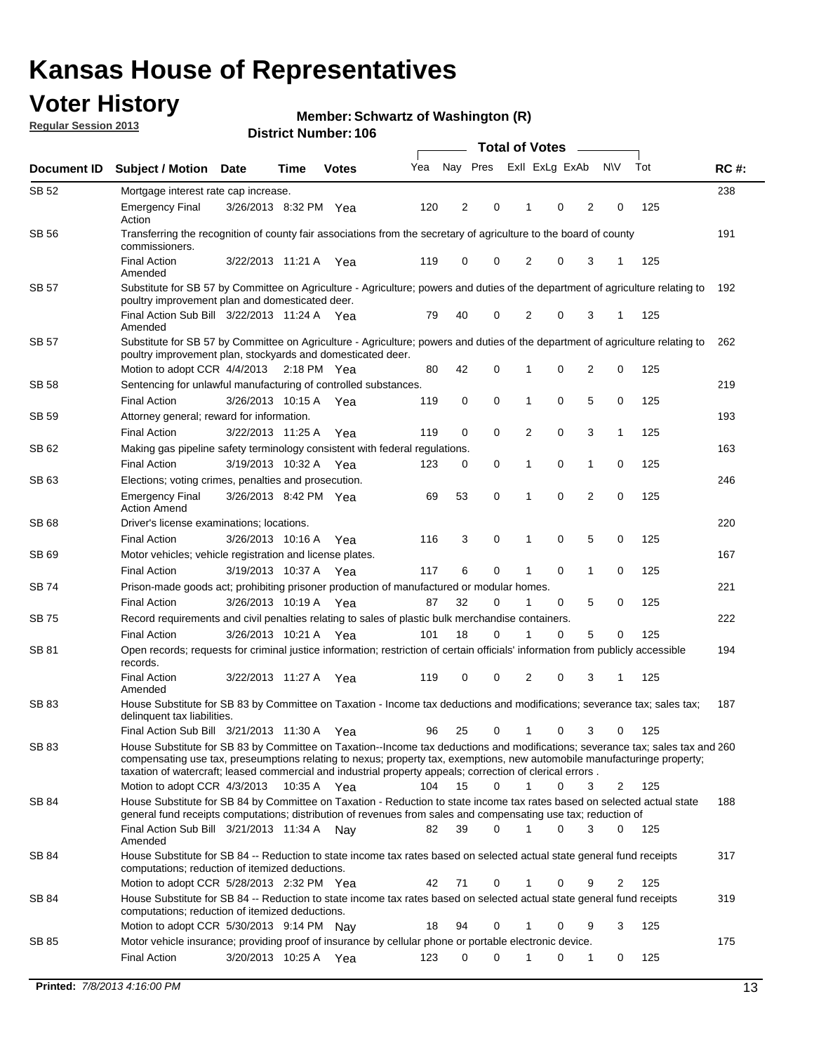## **Voter History**

**Member: Schwartz of Washington (R)** 

**Regular Session 2013**

| ExII ExLg ExAb<br>Nay Pres<br><b>NV</b><br>Tot<br>Yea<br><b>Subject / Motion Date</b><br>Document ID<br>Time<br><b>Votes</b><br><b>SB 52</b><br>Mortgage interest rate cap increase.<br>$\overline{\mathbf{c}}$<br>$\overline{2}$<br>125<br>120<br>0<br>0<br>0<br><b>Emergency Final</b><br>3/26/2013 8:32 PM Yea<br>Action<br>SB 56<br>Transferring the recognition of county fair associations from the secretary of agriculture to the board of county<br>commissioners.<br>3<br><b>Final Action</b><br>0<br>0<br>2<br>0<br>125<br>3/22/2013 11:21 A Yea<br>119<br>1<br>Amended<br><b>SB 57</b><br>Substitute for SB 57 by Committee on Agriculture - Agriculture; powers and duties of the department of agriculture relating to<br>poultry improvement plan and domesticated deer.<br>Final Action Sub Bill 3/22/2013 11:24 A Yea<br>0<br>125<br>79<br>40<br>2<br>0<br>3<br>1<br>Amended<br><b>SB 57</b><br>Substitute for SB 57 by Committee on Agriculture - Agriculture; powers and duties of the department of agriculture relating to<br>poultry improvement plan, stockyards and domesticated deer.<br>2<br>Motion to adopt CCR 4/4/2013 2:18 PM Yea<br>42<br>0<br>0<br>0<br>125<br>80<br>1<br><b>SB 58</b><br>Sentencing for unlawful manufacturing of controlled substances.<br>$\mathbf 0$<br>0<br>5<br>0<br><b>Final Action</b><br>3/26/2013 10:15 A<br>0<br>125<br>119<br>1<br>Yea<br>Attorney general; reward for information.<br>SB 59<br>0<br>$\mathbf 0$<br>2<br>0<br>3<br>125<br><b>Final Action</b><br>3/22/2013 11:25 A<br>119<br>$\mathbf{1}$<br>Yea<br>Making gas pipeline safety terminology consistent with federal regulations.<br>SB 62<br>$\mathbf 0$<br>0<br>0<br>125<br><b>Final Action</b><br>3/19/2013 10:32 A<br>123<br>0<br>$\mathbf{1}$<br>1<br>Yea<br>SB 63<br>Elections; voting crimes, penalties and prosecution.<br>$\overline{2}$<br>53<br>$\mathbf 0$<br>0<br>0<br>125<br>3/26/2013 8:42 PM Yea<br>69<br><b>Emergency Final</b><br>1<br><b>Action Amend</b><br>SB 68<br>Driver's license examinations; locations.<br>5<br><b>Final Action</b><br>3/26/2013 10:16 A<br>3<br>0<br>0<br>0<br>125<br>Yea<br>116<br>1<br>SB 69<br>Motor vehicles; vehicle registration and license plates.<br>6<br>0<br>0<br>0<br>125<br><b>Final Action</b><br>3/19/2013 10:37 A<br>117<br>1<br>Yea<br>Prison-made goods act; prohibiting prisoner production of manufactured or modular homes.<br>SB 74<br>5<br><b>Final Action</b><br>3/26/2013 10:19 A<br>87<br>32<br>0<br>0<br>125<br>Yea<br>0<br>SB 75<br>Record requirements and civil penalties relating to sales of plastic bulk merchandise containers.<br>5<br>18<br>0<br>0<br>125<br><b>Final Action</b><br>3/26/2013 10:21 A<br>101<br>0<br>Yea<br>Open records; requests for criminal justice information; restriction of certain officials' information from publicly accessible<br>SB 81<br>records.<br><b>Final Action</b><br>3/22/2013 11:27 A<br>119<br>0<br>0<br>2<br>0<br>3<br>125<br>1<br>Yea<br>Amended<br>SB 83<br>House Substitute for SB 83 by Committee on Taxation - Income tax deductions and modifications; severance tax; sales tax;<br>delinquent tax liabilities.<br>Final Action Sub Bill 3/21/2013 11:30 A<br>125<br>96<br>25<br>0<br>$\mathbf{1}$<br>0<br>3<br>0<br>Yea<br>SB 83<br>House Substitute for SB 83 by Committee on Taxation--Income tax deductions and modifications; severance tax; sales tax and 260<br>compensating use tax, preseumptions relating to nexus; property tax, exemptions, new automobile manufacturinge property;<br>taxation of watercraft; leased commercial and industrial property appeals; correction of clerical errors.<br>0<br>0<br>Motion to adopt CCR 4/3/2013<br>10:35 A Yea<br>104<br>15<br>1<br>3<br>2<br>125<br>SB 84<br>House Substitute for SB 84 by Committee on Taxation - Reduction to state income tax rates based on selected actual state<br>general fund receipts computations; distribution of revenues from sales and compensating use tax; reduction of |             |
|--------------------------------------------------------------------------------------------------------------------------------------------------------------------------------------------------------------------------------------------------------------------------------------------------------------------------------------------------------------------------------------------------------------------------------------------------------------------------------------------------------------------------------------------------------------------------------------------------------------------------------------------------------------------------------------------------------------------------------------------------------------------------------------------------------------------------------------------------------------------------------------------------------------------------------------------------------------------------------------------------------------------------------------------------------------------------------------------------------------------------------------------------------------------------------------------------------------------------------------------------------------------------------------------------------------------------------------------------------------------------------------------------------------------------------------------------------------------------------------------------------------------------------------------------------------------------------------------------------------------------------------------------------------------------------------------------------------------------------------------------------------------------------------------------------------------------------------------------------------------------------------------------------------------------------------------------------------------------------------------------------------------------------------------------------------------------------------------------------------------------------------------------------------------------------------------------------------------------------------------------------------------------------------------------------------------------------------------------------------------------------------------------------------------------------------------------------------------------------------------------------------------------------------------------------------------------------------------------------------------------------------------------------------------------------------------------------------------------------------------------------------------------------------------------------------------------------------------------------------------------------------------------------------------------------------------------------------------------------------------------------------------------------------------------------------------------------------------------------------------------------------------------------------------------------------------------------------------------------------------------------------------------------------------------------------------------------------------------------------------------------------------------------------------------------------------------------------------------------------------------------------------------------------------------------------------------------------------------------------------------------------------------------------------------------------------------------------------------------------------------------------------------------------------------------------------------------------------------------------------------------------------------------------------------------------------------------------------------------------------------------------------------|-------------|
|                                                                                                                                                                                                                                                                                                                                                                                                                                                                                                                                                                                                                                                                                                                                                                                                                                                                                                                                                                                                                                                                                                                                                                                                                                                                                                                                                                                                                                                                                                                                                                                                                                                                                                                                                                                                                                                                                                                                                                                                                                                                                                                                                                                                                                                                                                                                                                                                                                                                                                                                                                                                                                                                                                                                                                                                                                                                                                                                                                                                                                                                                                                                                                                                                                                                                                                                                                                                                                                                                                                                                                                                                                                                                                                                                                                                                                                                                                                                                                                                                          | <b>RC#:</b> |
|                                                                                                                                                                                                                                                                                                                                                                                                                                                                                                                                                                                                                                                                                                                                                                                                                                                                                                                                                                                                                                                                                                                                                                                                                                                                                                                                                                                                                                                                                                                                                                                                                                                                                                                                                                                                                                                                                                                                                                                                                                                                                                                                                                                                                                                                                                                                                                                                                                                                                                                                                                                                                                                                                                                                                                                                                                                                                                                                                                                                                                                                                                                                                                                                                                                                                                                                                                                                                                                                                                                                                                                                                                                                                                                                                                                                                                                                                                                                                                                                                          | 238         |
|                                                                                                                                                                                                                                                                                                                                                                                                                                                                                                                                                                                                                                                                                                                                                                                                                                                                                                                                                                                                                                                                                                                                                                                                                                                                                                                                                                                                                                                                                                                                                                                                                                                                                                                                                                                                                                                                                                                                                                                                                                                                                                                                                                                                                                                                                                                                                                                                                                                                                                                                                                                                                                                                                                                                                                                                                                                                                                                                                                                                                                                                                                                                                                                                                                                                                                                                                                                                                                                                                                                                                                                                                                                                                                                                                                                                                                                                                                                                                                                                                          |             |
|                                                                                                                                                                                                                                                                                                                                                                                                                                                                                                                                                                                                                                                                                                                                                                                                                                                                                                                                                                                                                                                                                                                                                                                                                                                                                                                                                                                                                                                                                                                                                                                                                                                                                                                                                                                                                                                                                                                                                                                                                                                                                                                                                                                                                                                                                                                                                                                                                                                                                                                                                                                                                                                                                                                                                                                                                                                                                                                                                                                                                                                                                                                                                                                                                                                                                                                                                                                                                                                                                                                                                                                                                                                                                                                                                                                                                                                                                                                                                                                                                          | 191         |
|                                                                                                                                                                                                                                                                                                                                                                                                                                                                                                                                                                                                                                                                                                                                                                                                                                                                                                                                                                                                                                                                                                                                                                                                                                                                                                                                                                                                                                                                                                                                                                                                                                                                                                                                                                                                                                                                                                                                                                                                                                                                                                                                                                                                                                                                                                                                                                                                                                                                                                                                                                                                                                                                                                                                                                                                                                                                                                                                                                                                                                                                                                                                                                                                                                                                                                                                                                                                                                                                                                                                                                                                                                                                                                                                                                                                                                                                                                                                                                                                                          |             |
|                                                                                                                                                                                                                                                                                                                                                                                                                                                                                                                                                                                                                                                                                                                                                                                                                                                                                                                                                                                                                                                                                                                                                                                                                                                                                                                                                                                                                                                                                                                                                                                                                                                                                                                                                                                                                                                                                                                                                                                                                                                                                                                                                                                                                                                                                                                                                                                                                                                                                                                                                                                                                                                                                                                                                                                                                                                                                                                                                                                                                                                                                                                                                                                                                                                                                                                                                                                                                                                                                                                                                                                                                                                                                                                                                                                                                                                                                                                                                                                                                          | 192         |
|                                                                                                                                                                                                                                                                                                                                                                                                                                                                                                                                                                                                                                                                                                                                                                                                                                                                                                                                                                                                                                                                                                                                                                                                                                                                                                                                                                                                                                                                                                                                                                                                                                                                                                                                                                                                                                                                                                                                                                                                                                                                                                                                                                                                                                                                                                                                                                                                                                                                                                                                                                                                                                                                                                                                                                                                                                                                                                                                                                                                                                                                                                                                                                                                                                                                                                                                                                                                                                                                                                                                                                                                                                                                                                                                                                                                                                                                                                                                                                                                                          |             |
|                                                                                                                                                                                                                                                                                                                                                                                                                                                                                                                                                                                                                                                                                                                                                                                                                                                                                                                                                                                                                                                                                                                                                                                                                                                                                                                                                                                                                                                                                                                                                                                                                                                                                                                                                                                                                                                                                                                                                                                                                                                                                                                                                                                                                                                                                                                                                                                                                                                                                                                                                                                                                                                                                                                                                                                                                                                                                                                                                                                                                                                                                                                                                                                                                                                                                                                                                                                                                                                                                                                                                                                                                                                                                                                                                                                                                                                                                                                                                                                                                          | 262         |
|                                                                                                                                                                                                                                                                                                                                                                                                                                                                                                                                                                                                                                                                                                                                                                                                                                                                                                                                                                                                                                                                                                                                                                                                                                                                                                                                                                                                                                                                                                                                                                                                                                                                                                                                                                                                                                                                                                                                                                                                                                                                                                                                                                                                                                                                                                                                                                                                                                                                                                                                                                                                                                                                                                                                                                                                                                                                                                                                                                                                                                                                                                                                                                                                                                                                                                                                                                                                                                                                                                                                                                                                                                                                                                                                                                                                                                                                                                                                                                                                                          |             |
|                                                                                                                                                                                                                                                                                                                                                                                                                                                                                                                                                                                                                                                                                                                                                                                                                                                                                                                                                                                                                                                                                                                                                                                                                                                                                                                                                                                                                                                                                                                                                                                                                                                                                                                                                                                                                                                                                                                                                                                                                                                                                                                                                                                                                                                                                                                                                                                                                                                                                                                                                                                                                                                                                                                                                                                                                                                                                                                                                                                                                                                                                                                                                                                                                                                                                                                                                                                                                                                                                                                                                                                                                                                                                                                                                                                                                                                                                                                                                                                                                          | 219         |
|                                                                                                                                                                                                                                                                                                                                                                                                                                                                                                                                                                                                                                                                                                                                                                                                                                                                                                                                                                                                                                                                                                                                                                                                                                                                                                                                                                                                                                                                                                                                                                                                                                                                                                                                                                                                                                                                                                                                                                                                                                                                                                                                                                                                                                                                                                                                                                                                                                                                                                                                                                                                                                                                                                                                                                                                                                                                                                                                                                                                                                                                                                                                                                                                                                                                                                                                                                                                                                                                                                                                                                                                                                                                                                                                                                                                                                                                                                                                                                                                                          |             |
|                                                                                                                                                                                                                                                                                                                                                                                                                                                                                                                                                                                                                                                                                                                                                                                                                                                                                                                                                                                                                                                                                                                                                                                                                                                                                                                                                                                                                                                                                                                                                                                                                                                                                                                                                                                                                                                                                                                                                                                                                                                                                                                                                                                                                                                                                                                                                                                                                                                                                                                                                                                                                                                                                                                                                                                                                                                                                                                                                                                                                                                                                                                                                                                                                                                                                                                                                                                                                                                                                                                                                                                                                                                                                                                                                                                                                                                                                                                                                                                                                          | 193         |
|                                                                                                                                                                                                                                                                                                                                                                                                                                                                                                                                                                                                                                                                                                                                                                                                                                                                                                                                                                                                                                                                                                                                                                                                                                                                                                                                                                                                                                                                                                                                                                                                                                                                                                                                                                                                                                                                                                                                                                                                                                                                                                                                                                                                                                                                                                                                                                                                                                                                                                                                                                                                                                                                                                                                                                                                                                                                                                                                                                                                                                                                                                                                                                                                                                                                                                                                                                                                                                                                                                                                                                                                                                                                                                                                                                                                                                                                                                                                                                                                                          |             |
|                                                                                                                                                                                                                                                                                                                                                                                                                                                                                                                                                                                                                                                                                                                                                                                                                                                                                                                                                                                                                                                                                                                                                                                                                                                                                                                                                                                                                                                                                                                                                                                                                                                                                                                                                                                                                                                                                                                                                                                                                                                                                                                                                                                                                                                                                                                                                                                                                                                                                                                                                                                                                                                                                                                                                                                                                                                                                                                                                                                                                                                                                                                                                                                                                                                                                                                                                                                                                                                                                                                                                                                                                                                                                                                                                                                                                                                                                                                                                                                                                          | 163         |
|                                                                                                                                                                                                                                                                                                                                                                                                                                                                                                                                                                                                                                                                                                                                                                                                                                                                                                                                                                                                                                                                                                                                                                                                                                                                                                                                                                                                                                                                                                                                                                                                                                                                                                                                                                                                                                                                                                                                                                                                                                                                                                                                                                                                                                                                                                                                                                                                                                                                                                                                                                                                                                                                                                                                                                                                                                                                                                                                                                                                                                                                                                                                                                                                                                                                                                                                                                                                                                                                                                                                                                                                                                                                                                                                                                                                                                                                                                                                                                                                                          |             |
|                                                                                                                                                                                                                                                                                                                                                                                                                                                                                                                                                                                                                                                                                                                                                                                                                                                                                                                                                                                                                                                                                                                                                                                                                                                                                                                                                                                                                                                                                                                                                                                                                                                                                                                                                                                                                                                                                                                                                                                                                                                                                                                                                                                                                                                                                                                                                                                                                                                                                                                                                                                                                                                                                                                                                                                                                                                                                                                                                                                                                                                                                                                                                                                                                                                                                                                                                                                                                                                                                                                                                                                                                                                                                                                                                                                                                                                                                                                                                                                                                          | 246         |
|                                                                                                                                                                                                                                                                                                                                                                                                                                                                                                                                                                                                                                                                                                                                                                                                                                                                                                                                                                                                                                                                                                                                                                                                                                                                                                                                                                                                                                                                                                                                                                                                                                                                                                                                                                                                                                                                                                                                                                                                                                                                                                                                                                                                                                                                                                                                                                                                                                                                                                                                                                                                                                                                                                                                                                                                                                                                                                                                                                                                                                                                                                                                                                                                                                                                                                                                                                                                                                                                                                                                                                                                                                                                                                                                                                                                                                                                                                                                                                                                                          | 220         |
|                                                                                                                                                                                                                                                                                                                                                                                                                                                                                                                                                                                                                                                                                                                                                                                                                                                                                                                                                                                                                                                                                                                                                                                                                                                                                                                                                                                                                                                                                                                                                                                                                                                                                                                                                                                                                                                                                                                                                                                                                                                                                                                                                                                                                                                                                                                                                                                                                                                                                                                                                                                                                                                                                                                                                                                                                                                                                                                                                                                                                                                                                                                                                                                                                                                                                                                                                                                                                                                                                                                                                                                                                                                                                                                                                                                                                                                                                                                                                                                                                          |             |
|                                                                                                                                                                                                                                                                                                                                                                                                                                                                                                                                                                                                                                                                                                                                                                                                                                                                                                                                                                                                                                                                                                                                                                                                                                                                                                                                                                                                                                                                                                                                                                                                                                                                                                                                                                                                                                                                                                                                                                                                                                                                                                                                                                                                                                                                                                                                                                                                                                                                                                                                                                                                                                                                                                                                                                                                                                                                                                                                                                                                                                                                                                                                                                                                                                                                                                                                                                                                                                                                                                                                                                                                                                                                                                                                                                                                                                                                                                                                                                                                                          | 167         |
|                                                                                                                                                                                                                                                                                                                                                                                                                                                                                                                                                                                                                                                                                                                                                                                                                                                                                                                                                                                                                                                                                                                                                                                                                                                                                                                                                                                                                                                                                                                                                                                                                                                                                                                                                                                                                                                                                                                                                                                                                                                                                                                                                                                                                                                                                                                                                                                                                                                                                                                                                                                                                                                                                                                                                                                                                                                                                                                                                                                                                                                                                                                                                                                                                                                                                                                                                                                                                                                                                                                                                                                                                                                                                                                                                                                                                                                                                                                                                                                                                          |             |
|                                                                                                                                                                                                                                                                                                                                                                                                                                                                                                                                                                                                                                                                                                                                                                                                                                                                                                                                                                                                                                                                                                                                                                                                                                                                                                                                                                                                                                                                                                                                                                                                                                                                                                                                                                                                                                                                                                                                                                                                                                                                                                                                                                                                                                                                                                                                                                                                                                                                                                                                                                                                                                                                                                                                                                                                                                                                                                                                                                                                                                                                                                                                                                                                                                                                                                                                                                                                                                                                                                                                                                                                                                                                                                                                                                                                                                                                                                                                                                                                                          | 221         |
|                                                                                                                                                                                                                                                                                                                                                                                                                                                                                                                                                                                                                                                                                                                                                                                                                                                                                                                                                                                                                                                                                                                                                                                                                                                                                                                                                                                                                                                                                                                                                                                                                                                                                                                                                                                                                                                                                                                                                                                                                                                                                                                                                                                                                                                                                                                                                                                                                                                                                                                                                                                                                                                                                                                                                                                                                                                                                                                                                                                                                                                                                                                                                                                                                                                                                                                                                                                                                                                                                                                                                                                                                                                                                                                                                                                                                                                                                                                                                                                                                          |             |
|                                                                                                                                                                                                                                                                                                                                                                                                                                                                                                                                                                                                                                                                                                                                                                                                                                                                                                                                                                                                                                                                                                                                                                                                                                                                                                                                                                                                                                                                                                                                                                                                                                                                                                                                                                                                                                                                                                                                                                                                                                                                                                                                                                                                                                                                                                                                                                                                                                                                                                                                                                                                                                                                                                                                                                                                                                                                                                                                                                                                                                                                                                                                                                                                                                                                                                                                                                                                                                                                                                                                                                                                                                                                                                                                                                                                                                                                                                                                                                                                                          | 222         |
|                                                                                                                                                                                                                                                                                                                                                                                                                                                                                                                                                                                                                                                                                                                                                                                                                                                                                                                                                                                                                                                                                                                                                                                                                                                                                                                                                                                                                                                                                                                                                                                                                                                                                                                                                                                                                                                                                                                                                                                                                                                                                                                                                                                                                                                                                                                                                                                                                                                                                                                                                                                                                                                                                                                                                                                                                                                                                                                                                                                                                                                                                                                                                                                                                                                                                                                                                                                                                                                                                                                                                                                                                                                                                                                                                                                                                                                                                                                                                                                                                          |             |
|                                                                                                                                                                                                                                                                                                                                                                                                                                                                                                                                                                                                                                                                                                                                                                                                                                                                                                                                                                                                                                                                                                                                                                                                                                                                                                                                                                                                                                                                                                                                                                                                                                                                                                                                                                                                                                                                                                                                                                                                                                                                                                                                                                                                                                                                                                                                                                                                                                                                                                                                                                                                                                                                                                                                                                                                                                                                                                                                                                                                                                                                                                                                                                                                                                                                                                                                                                                                                                                                                                                                                                                                                                                                                                                                                                                                                                                                                                                                                                                                                          | 194         |
|                                                                                                                                                                                                                                                                                                                                                                                                                                                                                                                                                                                                                                                                                                                                                                                                                                                                                                                                                                                                                                                                                                                                                                                                                                                                                                                                                                                                                                                                                                                                                                                                                                                                                                                                                                                                                                                                                                                                                                                                                                                                                                                                                                                                                                                                                                                                                                                                                                                                                                                                                                                                                                                                                                                                                                                                                                                                                                                                                                                                                                                                                                                                                                                                                                                                                                                                                                                                                                                                                                                                                                                                                                                                                                                                                                                                                                                                                                                                                                                                                          |             |
|                                                                                                                                                                                                                                                                                                                                                                                                                                                                                                                                                                                                                                                                                                                                                                                                                                                                                                                                                                                                                                                                                                                                                                                                                                                                                                                                                                                                                                                                                                                                                                                                                                                                                                                                                                                                                                                                                                                                                                                                                                                                                                                                                                                                                                                                                                                                                                                                                                                                                                                                                                                                                                                                                                                                                                                                                                                                                                                                                                                                                                                                                                                                                                                                                                                                                                                                                                                                                                                                                                                                                                                                                                                                                                                                                                                                                                                                                                                                                                                                                          | 187         |
|                                                                                                                                                                                                                                                                                                                                                                                                                                                                                                                                                                                                                                                                                                                                                                                                                                                                                                                                                                                                                                                                                                                                                                                                                                                                                                                                                                                                                                                                                                                                                                                                                                                                                                                                                                                                                                                                                                                                                                                                                                                                                                                                                                                                                                                                                                                                                                                                                                                                                                                                                                                                                                                                                                                                                                                                                                                                                                                                                                                                                                                                                                                                                                                                                                                                                                                                                                                                                                                                                                                                                                                                                                                                                                                                                                                                                                                                                                                                                                                                                          |             |
|                                                                                                                                                                                                                                                                                                                                                                                                                                                                                                                                                                                                                                                                                                                                                                                                                                                                                                                                                                                                                                                                                                                                                                                                                                                                                                                                                                                                                                                                                                                                                                                                                                                                                                                                                                                                                                                                                                                                                                                                                                                                                                                                                                                                                                                                                                                                                                                                                                                                                                                                                                                                                                                                                                                                                                                                                                                                                                                                                                                                                                                                                                                                                                                                                                                                                                                                                                                                                                                                                                                                                                                                                                                                                                                                                                                                                                                                                                                                                                                                                          |             |
|                                                                                                                                                                                                                                                                                                                                                                                                                                                                                                                                                                                                                                                                                                                                                                                                                                                                                                                                                                                                                                                                                                                                                                                                                                                                                                                                                                                                                                                                                                                                                                                                                                                                                                                                                                                                                                                                                                                                                                                                                                                                                                                                                                                                                                                                                                                                                                                                                                                                                                                                                                                                                                                                                                                                                                                                                                                                                                                                                                                                                                                                                                                                                                                                                                                                                                                                                                                                                                                                                                                                                                                                                                                                                                                                                                                                                                                                                                                                                                                                                          |             |
| Final Action Sub Bill 3/21/2013 11:34 A Nay<br>39<br>82<br>0<br>$\mathbf 1$<br>0<br>3<br>0<br>125                                                                                                                                                                                                                                                                                                                                                                                                                                                                                                                                                                                                                                                                                                                                                                                                                                                                                                                                                                                                                                                                                                                                                                                                                                                                                                                                                                                                                                                                                                                                                                                                                                                                                                                                                                                                                                                                                                                                                                                                                                                                                                                                                                                                                                                                                                                                                                                                                                                                                                                                                                                                                                                                                                                                                                                                                                                                                                                                                                                                                                                                                                                                                                                                                                                                                                                                                                                                                                                                                                                                                                                                                                                                                                                                                                                                                                                                                                                        | 188         |
| Amended                                                                                                                                                                                                                                                                                                                                                                                                                                                                                                                                                                                                                                                                                                                                                                                                                                                                                                                                                                                                                                                                                                                                                                                                                                                                                                                                                                                                                                                                                                                                                                                                                                                                                                                                                                                                                                                                                                                                                                                                                                                                                                                                                                                                                                                                                                                                                                                                                                                                                                                                                                                                                                                                                                                                                                                                                                                                                                                                                                                                                                                                                                                                                                                                                                                                                                                                                                                                                                                                                                                                                                                                                                                                                                                                                                                                                                                                                                                                                                                                                  |             |
| SB 84<br>House Substitute for SB 84 -- Reduction to state income tax rates based on selected actual state general fund receipts<br>computations; reduction of itemized deductions.                                                                                                                                                                                                                                                                                                                                                                                                                                                                                                                                                                                                                                                                                                                                                                                                                                                                                                                                                                                                                                                                                                                                                                                                                                                                                                                                                                                                                                                                                                                                                                                                                                                                                                                                                                                                                                                                                                                                                                                                                                                                                                                                                                                                                                                                                                                                                                                                                                                                                                                                                                                                                                                                                                                                                                                                                                                                                                                                                                                                                                                                                                                                                                                                                                                                                                                                                                                                                                                                                                                                                                                                                                                                                                                                                                                                                                       | 317         |
| 42<br>125<br>Motion to adopt CCR 5/28/2013 2:32 PM Yea<br>71<br>0<br>0<br>9<br>2                                                                                                                                                                                                                                                                                                                                                                                                                                                                                                                                                                                                                                                                                                                                                                                                                                                                                                                                                                                                                                                                                                                                                                                                                                                                                                                                                                                                                                                                                                                                                                                                                                                                                                                                                                                                                                                                                                                                                                                                                                                                                                                                                                                                                                                                                                                                                                                                                                                                                                                                                                                                                                                                                                                                                                                                                                                                                                                                                                                                                                                                                                                                                                                                                                                                                                                                                                                                                                                                                                                                                                                                                                                                                                                                                                                                                                                                                                                                         |             |
| House Substitute for SB 84 -- Reduction to state income tax rates based on selected actual state general fund receipts<br>SB 84<br>computations; reduction of itemized deductions.                                                                                                                                                                                                                                                                                                                                                                                                                                                                                                                                                                                                                                                                                                                                                                                                                                                                                                                                                                                                                                                                                                                                                                                                                                                                                                                                                                                                                                                                                                                                                                                                                                                                                                                                                                                                                                                                                                                                                                                                                                                                                                                                                                                                                                                                                                                                                                                                                                                                                                                                                                                                                                                                                                                                                                                                                                                                                                                                                                                                                                                                                                                                                                                                                                                                                                                                                                                                                                                                                                                                                                                                                                                                                                                                                                                                                                       | 319         |
| Motion to adopt CCR 5/30/2013 9:14 PM Nay<br>18<br>94<br>0<br>0<br>9<br>3<br>125<br>1                                                                                                                                                                                                                                                                                                                                                                                                                                                                                                                                                                                                                                                                                                                                                                                                                                                                                                                                                                                                                                                                                                                                                                                                                                                                                                                                                                                                                                                                                                                                                                                                                                                                                                                                                                                                                                                                                                                                                                                                                                                                                                                                                                                                                                                                                                                                                                                                                                                                                                                                                                                                                                                                                                                                                                                                                                                                                                                                                                                                                                                                                                                                                                                                                                                                                                                                                                                                                                                                                                                                                                                                                                                                                                                                                                                                                                                                                                                                    |             |
| SB 85<br>Motor vehicle insurance; providing proof of insurance by cellular phone or portable electronic device.<br><b>Final Action</b><br>3/20/2013 10:25 A Yea<br>123<br>0<br>0<br>125<br>1<br>0<br>1<br>0                                                                                                                                                                                                                                                                                                                                                                                                                                                                                                                                                                                                                                                                                                                                                                                                                                                                                                                                                                                                                                                                                                                                                                                                                                                                                                                                                                                                                                                                                                                                                                                                                                                                                                                                                                                                                                                                                                                                                                                                                                                                                                                                                                                                                                                                                                                                                                                                                                                                                                                                                                                                                                                                                                                                                                                                                                                                                                                                                                                                                                                                                                                                                                                                                                                                                                                                                                                                                                                                                                                                                                                                                                                                                                                                                                                                              | 175         |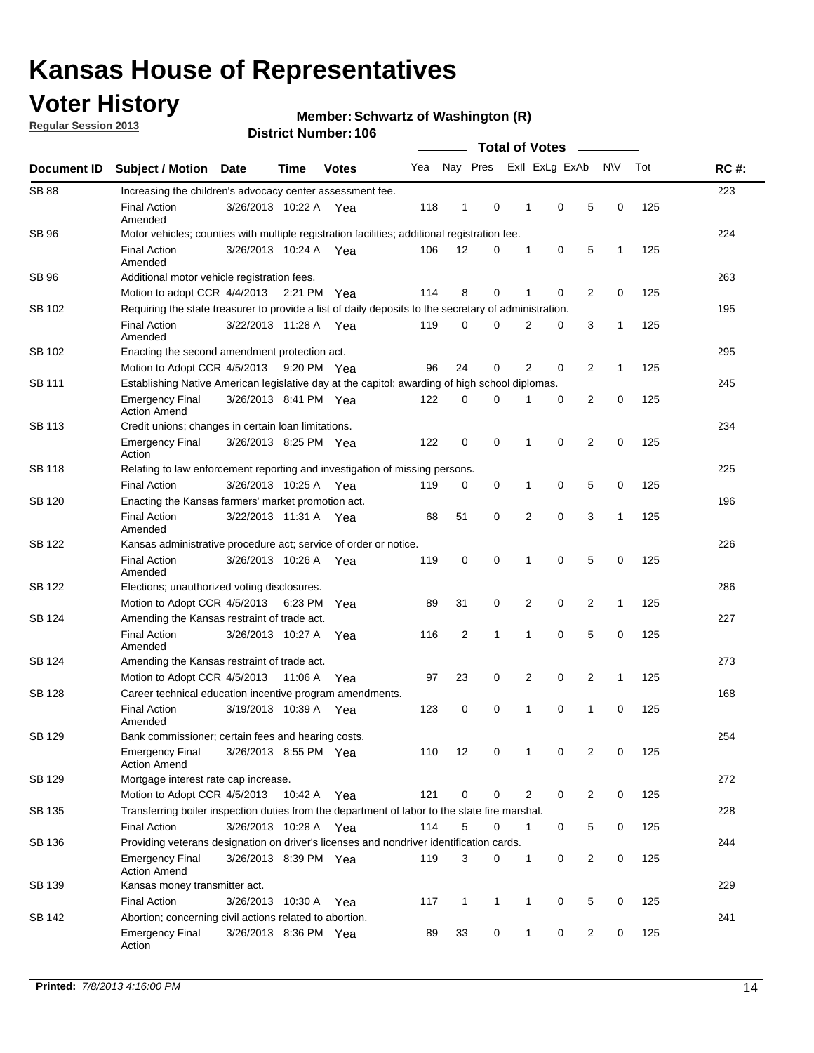## **Voter History**

**Regular Session 2013**

#### **Member: Schwartz of Washington (R)**

|               |                                                                                                       |                                                    |         |              | <b>Total of Votes</b> |                |              |   |                |                |              |     |             |
|---------------|-------------------------------------------------------------------------------------------------------|----------------------------------------------------|---------|--------------|-----------------------|----------------|--------------|---|----------------|----------------|--------------|-----|-------------|
| Document ID   | <b>Subject / Motion Date</b>                                                                          |                                                    | Time    | <b>Votes</b> | Yea                   | Nay Pres       |              |   | Exll ExLg ExAb |                | <b>NV</b>    | Tot | <b>RC#:</b> |
| <b>SB 88</b>  | Increasing the children's advocacy center assessment fee.                                             |                                                    |         |              |                       |                |              |   |                |                |              |     | 223         |
|               | <b>Final Action</b><br>Amended                                                                        | 3/26/2013 10:22 A Yea                              |         |              | 118                   | $\mathbf{1}$   | 0            | 1 | 0              | 5              | 0            | 125 |             |
| SB 96         | Motor vehicles; counties with multiple registration facilities; additional registration fee.          |                                                    |         |              |                       |                |              |   |                |                |              | 224 |             |
|               | <b>Final Action</b><br>Amended                                                                        | 3/26/2013 10:24 A Yea                              |         |              | 106                   | 12             | 0            | 1 | 0              | 5              | 1            | 125 |             |
| SB 96         | Additional motor vehicle registration fees.                                                           |                                                    |         |              |                       |                |              |   |                |                |              |     | 263         |
|               | Motion to adopt CCR 4/4/2013 2:21 PM Yea                                                              |                                                    |         |              | 114                   | 8              | 0            | 1 | 0              | 2              | 0            | 125 |             |
| SB 102        | Requiring the state treasurer to provide a list of daily deposits to the secretary of administration. |                                                    |         |              |                       |                |              |   |                |                |              |     | 195         |
|               | <b>Final Action</b><br>Amended                                                                        | 3/22/2013 11:28 A Yea                              |         |              | 119                   | 0              | 0            | 2 | 0              | 3              | 1            | 125 |             |
| SB 102        | Enacting the second amendment protection act.                                                         |                                                    |         |              |                       |                |              |   |                |                |              |     | 295         |
|               | Motion to Adopt CCR 4/5/2013                                                                          |                                                    |         | 9:20 PM Yea  | 96                    | 24             | 0            | 2 | 0              | $\overline{2}$ | 1            | 125 |             |
| SB 111        | Establishing Native American legislative day at the capitol; awarding of high school diplomas.        |                                                    |         |              |                       |                |              |   |                |                |              |     | 245         |
|               | <b>Emergency Final</b><br><b>Action Amend</b>                                                         | 3/26/2013 8:41 PM Yea                              |         |              | 122                   | 0              | 0            | 1 | 0              | 2              | 0            | 125 |             |
| SB 113        | Credit unions; changes in certain loan limitations.                                                   |                                                    |         |              |                       |                |              |   |                |                |              |     | 234         |
|               | <b>Emergency Final</b><br>Action                                                                      | 3/26/2013 8:25 PM Yea                              |         |              | 122                   | 0              | 0            | 1 | 0              | 2              | 0            | 125 |             |
| SB 118        | Relating to law enforcement reporting and investigation of missing persons.                           |                                                    |         |              |                       |                |              |   |                |                |              |     | 225         |
|               | <b>Final Action</b>                                                                                   | 3/26/2013 10:25 A Yea                              |         |              | 119                   | 0              | 0            | 1 | 0              | 5              | 0            | 125 |             |
| SB 120        | Enacting the Kansas farmers' market promotion act.                                                    |                                                    |         |              |                       |                |              |   |                |                |              |     | 196         |
|               | <b>Final Action</b><br>Amended                                                                        | 3/22/2013 11:31 A Yea                              |         |              | 68                    | 51             | 0            | 2 | $\mathbf 0$    | 3              | $\mathbf{1}$ | 125 |             |
| SB 122        | Kansas administrative procedure act; service of order or notice.                                      |                                                    |         |              |                       |                |              |   |                |                |              |     | 226         |
|               | <b>Final Action</b><br>Amended                                                                        | 3/26/2013 10:26 A                                  |         | Yea          | 119                   | 0              | 0            | 1 | $\mathbf 0$    | 5              | 0            | 125 |             |
| SB 122        | Elections; unauthorized voting disclosures.                                                           |                                                    |         |              |                       |                |              |   |                |                |              |     | 286         |
|               | Motion to Adopt CCR 4/5/2013                                                                          |                                                    | 6:23 PM | Yea          | 89                    | 31             | 0            | 2 | 0              | 2              | 1            | 125 |             |
| SB 124        | Amending the Kansas restraint of trade act.                                                           |                                                    |         |              |                       |                |              |   |                |                |              |     | 227         |
|               | <b>Final Action</b><br>Amended                                                                        | 3/26/2013 10:27 A                                  |         | Yea          | 116                   | $\overline{2}$ | 1            | 1 | 0              | 5              | 0            | 125 |             |
| SB 124        |                                                                                                       | 273<br>Amending the Kansas restraint of trade act. |         |              |                       |                |              |   |                |                |              |     |             |
|               | Motion to Adopt CCR 4/5/2013                                                                          |                                                    | 11:06 A | Yea          | 97                    | 23             | 0            | 2 | 0              | $\overline{2}$ | $\mathbf{1}$ | 125 |             |
| <b>SB 128</b> | Career technical education incentive program amendments.                                              |                                                    |         |              |                       |                |              |   |                |                |              |     | 168         |
|               | <b>Final Action</b><br>Amended                                                                        | 3/19/2013 10:39 A Yea                              |         |              | 123                   | 0              | 0            | 1 | 0              | 1              | 0            | 125 |             |
| <b>SB 129</b> | Bank commissioner; certain fees and hearing costs.                                                    |                                                    |         |              |                       |                |              |   |                |                |              |     | 254         |
|               | <b>Emergency Final</b><br><b>Action Amend</b>                                                         | 3/26/2013 8:55 PM Yea                              |         |              | 110                   | 12             | 0            | 1 | 0              | 2              | 0            | 125 |             |
| SB 129        | Mortgage interest rate cap increase.                                                                  |                                                    |         |              |                       |                |              |   |                |                |              |     | 272         |
|               | Motion to Adopt CCR 4/5/2013                                                                          |                                                    | 10:42 A | Yea          | 121                   | 0              | 0            | 2 | 0              | $\overline{c}$ | 0            | 125 |             |
| SB 135        | Transferring boiler inspection duties from the department of labor to the state fire marshal.         |                                                    |         |              |                       |                |              |   |                |                |              |     | 228         |
|               | <b>Final Action</b>                                                                                   | 3/26/2013 10:28 A Yea                              |         |              | 114                   | 5              | 0            | 1 | 0              | 5              | 0            | 125 |             |
| SB 136        | Providing veterans designation on driver's licenses and nondriver identification cards.               |                                                    |         |              |                       |                |              |   |                |                |              | 244 |             |
|               | <b>Emergency Final</b><br><b>Action Amend</b>                                                         | 3/26/2013 8:39 PM Yea                              |         |              | 119                   | 3              | 0            | 1 | 0              | $\overline{c}$ | 0            | 125 |             |
| SB 139        | Kansas money transmitter act.                                                                         |                                                    |         |              |                       |                |              |   |                |                |              |     | 229         |
|               | <b>Final Action</b>                                                                                   | 3/26/2013 10:30 A                                  |         | Yea          | 117                   | $\mathbf{1}$   | $\mathbf{1}$ | 1 | 0              | 5              | 0            | 125 |             |
| SB 142        | Abortion; concerning civil actions related to abortion.                                               |                                                    |         |              |                       |                |              |   |                |                |              |     | 241         |
|               | <b>Emergency Final</b><br>Action                                                                      | 3/26/2013 8:36 PM Yea                              |         |              | 89                    | 33             | 0            | 1 | 0              | 2              | 0            | 125 |             |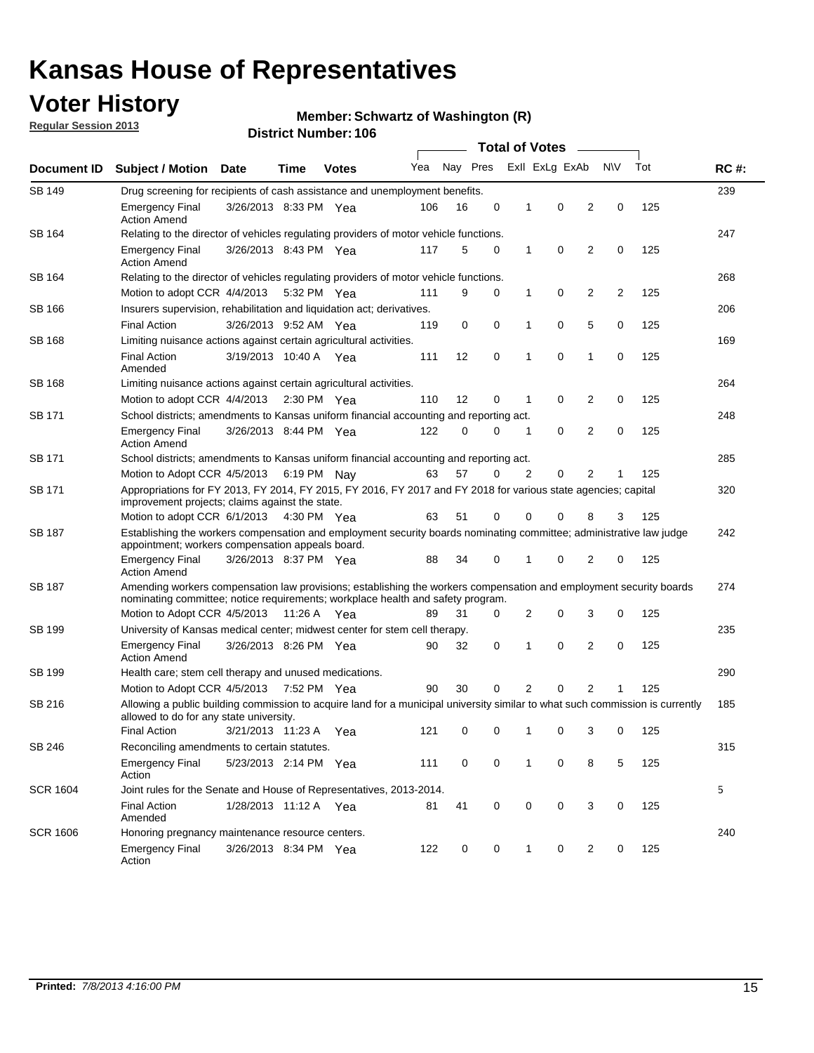## **Voter History**

**Regular Session 2013**

#### **Member: Schwartz of Washington (R)**

|                 |                                                                                                                                                                                                       |                       |             |              | <b>Total of Votes</b> |          |   |                |                |                |            |     |             |
|-----------------|-------------------------------------------------------------------------------------------------------------------------------------------------------------------------------------------------------|-----------------------|-------------|--------------|-----------------------|----------|---|----------------|----------------|----------------|------------|-----|-------------|
| Document ID     | Subject / Motion Date                                                                                                                                                                                 |                       | Time        | <b>Votes</b> | Yea                   | Nay Pres |   |                | Exll ExLg ExAb |                | <b>N/A</b> | Tot | <b>RC#:</b> |
| SB 149          | Drug screening for recipients of cash assistance and unemployment benefits.                                                                                                                           |                       |             |              |                       |          |   |                |                |                |            |     | 239         |
|                 | <b>Emergency Final</b><br><b>Action Amend</b>                                                                                                                                                         | 3/26/2013 8:33 PM Yea |             |              | 106                   | 16       | 0 | 1              | 0              | 2              | 0          | 125 |             |
| SB 164          | Relating to the director of vehicles regulating providers of motor vehicle functions.                                                                                                                 |                       |             |              |                       |          |   |                |                |                |            | 247 |             |
|                 | <b>Emergency Final</b><br><b>Action Amend</b>                                                                                                                                                         | 3/26/2013 8:43 PM Yea |             |              | 117                   | 5        | 0 | 1              | 0              | 2              | 0          | 125 |             |
| SB 164          | Relating to the director of vehicles regulating providers of motor vehicle functions.                                                                                                                 |                       |             |              |                       |          |   |                |                |                |            |     | 268         |
|                 | Motion to adopt CCR 4/4/2013                                                                                                                                                                          |                       | 5:32 PM Yea |              | 111                   | 9        | 0 | 1              | 0              | 2              | 2          | 125 |             |
| SB 166          | Insurers supervision, rehabilitation and liquidation act; derivatives.                                                                                                                                |                       |             |              |                       |          |   |                |                |                |            |     | 206         |
|                 | <b>Final Action</b>                                                                                                                                                                                   | 3/26/2013 9:52 AM Yea |             |              | 119                   | 0        | 0 | 1              | 0              | 5              | 0          | 125 |             |
| <b>SB 168</b>   | Limiting nuisance actions against certain agricultural activities.                                                                                                                                    |                       |             |              |                       |          |   |                |                |                |            |     | 169         |
|                 | <b>Final Action</b><br>Amended                                                                                                                                                                        | 3/19/2013 10:40 A Yea |             |              | 111                   | 12       | 0 | 1              | 0              | 1              | 0          | 125 |             |
| <b>SB 168</b>   | Limiting nuisance actions against certain agricultural activities.                                                                                                                                    |                       |             |              |                       |          |   |                |                |                |            |     | 264         |
|                 | Motion to adopt CCR 4/4/2013                                                                                                                                                                          |                       | 2:30 PM Yea |              | 110                   | 12       | 0 | 1              | 0              | 2              | 0          | 125 |             |
| SB 171          | School districts; amendments to Kansas uniform financial accounting and reporting act.                                                                                                                |                       |             |              |                       |          |   |                |                |                |            |     | 248         |
|                 | <b>Emergency Final</b><br><b>Action Amend</b>                                                                                                                                                         | 3/26/2013 8:44 PM Yea |             |              | 122                   | 0        | 0 | 1              | 0              | 2              | 0          | 125 |             |
| SB 171          | School districts; amendments to Kansas uniform financial accounting and reporting act.                                                                                                                |                       |             |              |                       |          |   |                |                |                |            |     | 285         |
|                 | Motion to Adopt CCR 4/5/2013 6:19 PM Nay                                                                                                                                                              |                       |             |              | 63                    | 57       | 0 | $\overline{2}$ | 0              | 2              |            | 125 |             |
| SB 171          | Appropriations for FY 2013, FY 2014, FY 2015, FY 2016, FY 2017 and FY 2018 for various state agencies; capital<br>improvement projects; claims against the state.                                     |                       |             |              |                       |          |   |                |                |                |            |     | 320         |
|                 | Motion to adopt CCR 6/1/2013 4:30 PM Yea                                                                                                                                                              |                       |             |              | 63                    | 51       | 0 | 0              | 0              | 8              | 3          | 125 |             |
| <b>SB 187</b>   | Establishing the workers compensation and employment security boards nominating committee; administrative law judge<br>appointment; workers compensation appeals board.                               |                       |             |              |                       |          |   |                |                |                |            | 242 |             |
|                 | <b>Emergency Final</b><br><b>Action Amend</b>                                                                                                                                                         | 3/26/2013 8:37 PM Yea |             |              | 88                    | 34       | 0 | 1              | 0              | 2              | 0          | 125 |             |
| SB 187          | Amending workers compensation law provisions; establishing the workers compensation and employment security boards<br>nominating committee; notice requirements; workplace health and safety program. |                       |             |              |                       |          |   |                |                |                |            |     | 274         |
|                 | Motion to Adopt CCR 4/5/2013 11:26 A Yea                                                                                                                                                              |                       |             |              | 89                    | 31       | 0 | 2              | 0              | 3              | 0          | 125 |             |
| SB 199          | University of Kansas medical center; midwest center for stem cell therapy.                                                                                                                            |                       |             |              |                       |          |   |                |                |                |            |     | 235         |
|                 | <b>Emergency Final</b><br><b>Action Amend</b>                                                                                                                                                         | 3/26/2013 8:26 PM Yea |             |              | 90                    | 32       | 0 | 1              | 0              | 2              | 0          | 125 |             |
| SB 199          | Health care; stem cell therapy and unused medications.                                                                                                                                                |                       |             |              |                       |          |   |                |                |                |            |     | 290         |
|                 | Motion to Adopt CCR 4/5/2013 7:52 PM Yea                                                                                                                                                              |                       |             |              | 90                    | 30       | 0 | 2              | 0              | $\overline{2}$ | 1          | 125 |             |
| SB 216          | Allowing a public building commission to acquire land for a municipal university similar to what such commission is currently<br>allowed to do for any state university.                              |                       |             |              |                       |          |   |                |                |                |            |     | 185         |
|                 | <b>Final Action</b>                                                                                                                                                                                   | 3/21/2013 11:23 A Yea |             |              | 121                   | 0        | 0 | 1              | 0              | 3              | 0          | 125 |             |
| SB 246          | Reconciling amendments to certain statutes.                                                                                                                                                           |                       |             |              |                       |          |   |                |                |                |            |     | 315         |
|                 | <b>Emergency Final</b><br>Action                                                                                                                                                                      | 5/23/2013 2:14 PM Yea |             |              | 111                   | 0        | 0 | 1              | 0              | 8              | 5          | 125 |             |
| <b>SCR 1604</b> | Joint rules for the Senate and House of Representatives, 2013-2014.                                                                                                                                   |                       |             |              |                       |          |   |                |                |                |            |     | 5           |
|                 | <b>Final Action</b><br>Amended                                                                                                                                                                        | 1/28/2013 11:12 A Yea |             |              | 81                    | 41       | 0 | 0              | 0              | 3              | 0          | 125 |             |
| <b>SCR 1606</b> | Honoring pregnancy maintenance resource centers.                                                                                                                                                      |                       |             |              |                       |          |   |                |                |                |            |     | 240         |
|                 | <b>Emergency Final</b><br>Action                                                                                                                                                                      | 3/26/2013 8:34 PM Yea |             |              | 122                   | 0        | 0 | 1              | 0              | 2              | 0          | 125 |             |